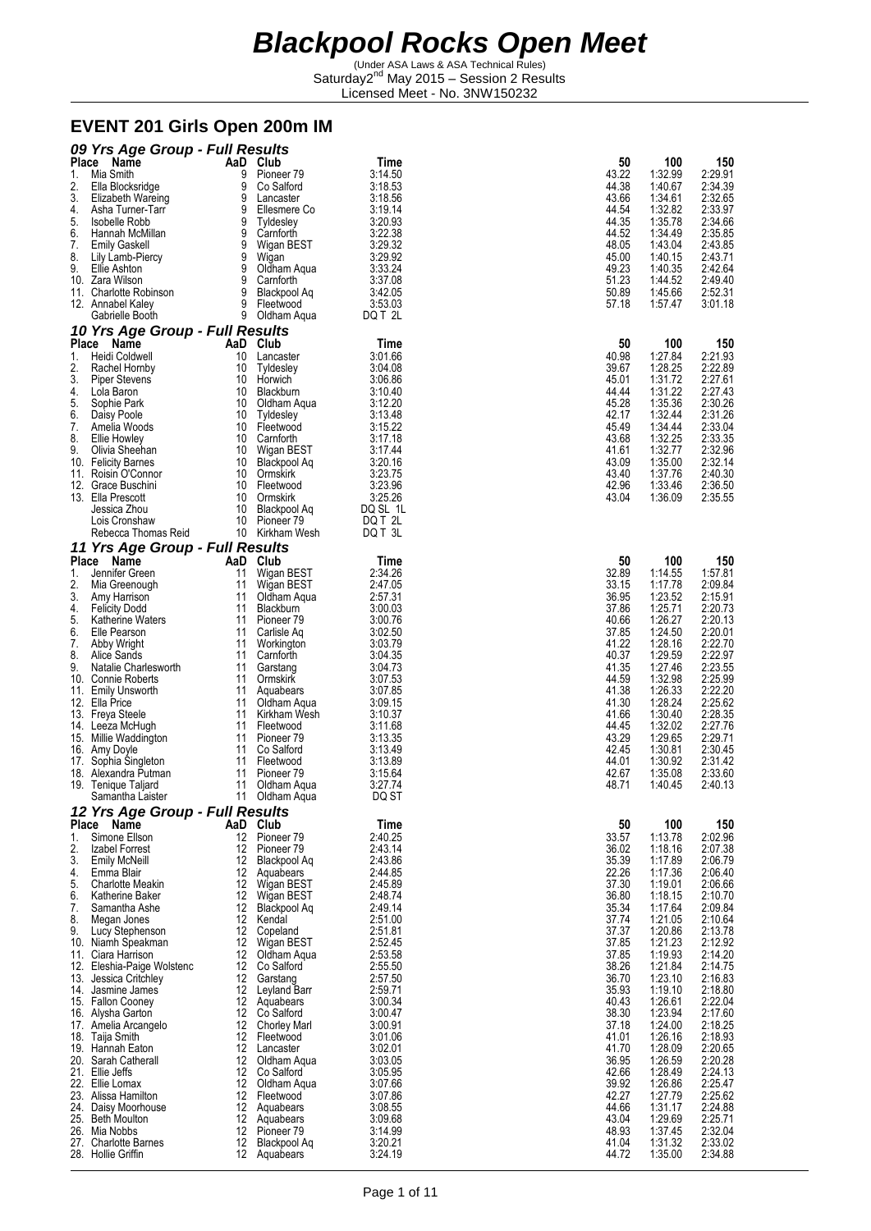(Under ASA Laws & ASA Technical Rules) Saturday2<sup>nd</sup> May 2015 - Session 2 Results Licensed Meet - No. 3NW150232

#### **EVENT 201 Girls Open 200m IM**

|          | 09 Yrs Age Group - Full Results                     |          |                                |                    |                |                    |                    |
|----------|-----------------------------------------------------|----------|--------------------------------|--------------------|----------------|--------------------|--------------------|
|          | Place Name                                          |          | AaD Club                       | Time               | 50             | 100                | 150                |
| 1.       | Mia Smith                                           | 9        | Pioneer 79                     | 3:14.50            | 43.22          | 1:32.99            | 2:29.91            |
| 2.<br>3. | Ella Blocksridge                                    | 9<br>9   | Co Salford                     | 3:18.53            | 44.38<br>43.66 | 1:40.67<br>1:34.61 | 2:34.39<br>2:32.65 |
| 4.       | Elizabeth Wareing<br>Asha Turner-Tarr               | 9        | Lancaster<br>Ellesmere Co      | 3:18.56<br>3:19.14 | 44.54          | 1:32.82            | 2:33.97            |
| 5.       | Isobelle Robb                                       |          | 9 Tyldesley                    | 3:20.93            | 44.35          | 1:35.78            | 2:34.66            |
| 6.       | Hannah McMillan                                     | 9        | Carnforth                      | 3:22.38            | 44.52          | 1:34.49            | 2:35.85            |
| 7.       | <b>Emily Gaskell</b>                                | 9        | Wigan BEST                     | 3:29.32            | 48.05          | 1:43.04            | 2:43.85            |
| 8.       | Lily Lamb-Piercy                                    | 9        | Wigan                          | 3:29.92            | 45.00          | 1:40.15            | 2:43.71            |
| 9.       | Ellie Ashton                                        | 9        | Oldham Aqua                    | 3:33.24            | 49.23          | 1:40.35            | 2:42.64            |
|          | 10. Zara Wilson                                     | 9<br>9   | Carnforth<br>Blackpool Ag      | 3:37.08<br>3:42.05 | 51.23          | 1:44.52            | 2:49.40            |
|          | 11. Charlotte Robinson<br>12. Annabel Kaley         |          | 9 Fleetwood                    | 3:53.03            | 50.89<br>57.18 | 1:45.66<br>1:57.47 | 2:52.31<br>3:01.18 |
|          | Gabrielle Booth                                     |          | 9 Oldham Agua                  | DQ T 2L            |                |                    |                    |
|          | 10 Yrs Age Group - Full Results                     |          |                                |                    |                |                    |                    |
|          | Place Name                                          |          | AaD Club                       | Time               | 50             | 100                | 150                |
| 1.       | Heidi Coldwell                                      | 10       | Lancaster                      | 3:01.66            | 40.98          | 1:27.84            | 2:21.93            |
| 2.       | Rachel Hornby                                       |          | 10 Tyldesley                   | 3:04.08            | 39.67          | 1:28.25            | 2:22.89            |
| 3.       | <b>Piper Stevens</b><br>Lola Baron                  | 10<br>10 | Horwich<br>Blackburn           | 3:06.86<br>3:10.40 | 45.01<br>44.44 | 1:31.72<br>1:31.22 | 2:27.61<br>2:27.43 |
| 4.<br>5. | Sophie Park                                         | 10       | Oldham Aqua                    | 3:12.20            | 45.28          | 1:35.36            | 2:30.26            |
| 6.       | Daisy Poole                                         |          | 10 Tyldesley                   | 3:13.48            | 42.17          | 1:32.44            | 2:31.26            |
| 7.       | Amelia Woods                                        |          | 10 Fleetwood                   | 3:15.22            | 45.49          | 1:34.44            | 2:33.04            |
| 8.       | Ellie Howley                                        |          | 10 Carnforth                   | 3:17.18            | 43.68          | 1:32.25            | 2:33.35            |
| 9.       | Olivia Sheehan                                      |          | 10 Wigan BEST                  | 3:17.44            | 41.61          | 1:32.77            | 2:32.96            |
|          | 10. Felicity Barnes                                 |          | 10 Blackpool Aq                | 3:20.16            | 43.09          | 1:35.00            | 2:32.14            |
|          | 11. Roisin O'Connor                                 |          | 10 Ormskirk                    | 3:23.75            | 43.40          | 1:37.76<br>1:33.46 | 2:40.30            |
|          | 12. Grace Buschini<br>13. Ella Prescott             | 10       | 10 Fleetwood<br>Ormskirk       | 3:23.96<br>3:25.26 | 42.96<br>43.04 | 1:36.09            | 2:36.50<br>2:35.55 |
|          | Jessica Zhou                                        | 10       | Blackpool Aq                   | DQ SL 1L           |                |                    |                    |
|          | Lois Cronshaw                                       |          | 10 Pioneer 79                  | DQ T 2L            |                |                    |                    |
|          | Rebecca Thomas Reid                                 |          | 10 Kirkham Wesh                | DQ T 3L            |                |                    |                    |
|          | 11 Yrs Age Group - Full Results                     |          |                                |                    |                |                    |                    |
|          | Place Name                                          |          | AaD Club                       | Time               | 50             | 100                | 150                |
| 1.       | Jennifer Green                                      | 11       | Wigan BEST                     | 2:34.26            | 32.89          | 1:14.55            | 1:57.81            |
| 2.<br>3. | Mia Greenough                                       |          | 11 Wigan BEST                  | 2:47.05            | 33.15<br>36.95 | 1:17.78            | 2:09.84<br>2:15.91 |
| 4.       | Amy Harrison<br><b>Felicity Dodd</b>                | 11<br>11 | Oldham Aqua<br>Blackburn       | 2:57.31<br>3:00.03 | 37.86          | 1:23.52<br>1:25.71 | 2:20.73            |
| 5.       | Katherine Waters                                    | 11       | Pioneer 79                     | 3:00.76            | 40.66          | 1:26.27            | 2:20.13            |
| 6.       | Elle Pearson                                        | 11       | Carlisle Aq                    | 3:02.50            | 37.85          | 1:24.50            | 2:20.01            |
| 7.       | Abby Wright                                         | 11       | Workington                     | 3:03.79            | 41.22          | 1:28.16            | 2:22.70            |
| 8.       | Alice Sands                                         | 11       | Carnforth                      | 3:04.35            | 40.37          | 1:29.59            | 2:22.97            |
| 9.       | Natalie Charlesworth                                | 11       | Garstang                       | 3:04.73            | 41.35          | 1:27.46            | 2:23.55            |
|          | 10. Connie Roberts                                  | 11       | Ormskirk                       | 3:07.53            | 44.59          | 1:32.98            | 2:25.99            |
|          | 11. Emily Unsworth<br>12. Ella Price                | 11<br>11 | Aquabears<br>Oldham Aqua       | 3:07.85<br>3:09.15 | 41.38<br>41.30 | 1:26.33<br>1:28.24 | 2:22.20<br>2:25.62 |
|          | 13. Freya Steele                                    | 11       | Kirkham Wesh                   | 3:10.37            | 41.66          | 1:30.40            | 2:28.35            |
|          | 14. Leeza McHugh                                    | 11       | Fleetwood                      | 3:11.68            | 44.45          | 1:32.02            | 2:27.76            |
|          | 15. Millie Waddington                               | 11       | Pioneer <sub>79</sub>          | 3:13.35            | 43.29          | 1:29.65            | 2:29.71            |
|          | 16. Amy Doyle                                       |          | 11 Co Salford                  | 3:13.49            | 42.45          | 1:30.81            | 2:30.45            |
|          | 17. Sophia Singleton                                |          | 11 Fleetwood                   | 3:13.89            | 44.01          | 1:30.92            | 2:31.42            |
|          | 18. Alexandra Putman                                | 11       | Pioneer 79                     | 3:15.64            | 42.67          | 1:35.08            | 2:33.60            |
|          | 19. Tenique Taljard<br>Samantha Laister             | 11       | Oldham Aqua<br>11 Oldham Aqua  | 3:27.74<br>DQ ST   | 48.71          | 1:40.45            | 2:40.13            |
|          | 12 Yrs Age Group - Full Results                     |          |                                |                    |                |                    |                    |
|          | Place Name                                          |          | AaD Club                       | Time               | 50             | 100                | 150                |
| 1.       | Simone Ellson                                       |          | 12 Pioneer 79                  | 2:40.25            | 33.57          | 1:13.78            | 2:02.96            |
| 2.       | Izabel Forrest                                      |          | 12 Pioneer 79                  | 2:43.14            | 36.02          | 1:18.16            | 2:07.38            |
| 3.       | <b>Emily McNeill</b>                                | 12       | Blackpool Aq                   | 2:43.86<br>2:44.85 | 35.39<br>22.26 | 1:17.89            | 2:06.79            |
| 4.<br>5. | Emma Blair<br><b>Charlotte Meakin</b>               |          | 12 Aguabears<br>12 Wigan BEST  | 2:45.89            | 37.30          | 1:17.36<br>1:19.01 | 2:06.40<br>2:06.66 |
| 6.       | Katherine Baker                                     |          | 12 Wigan BEST                  | 2:48.74            | 36.80          | 1:18.15            | 2:10.70            |
| 7.       | Samantha Ashe                                       |          | 12 Blackpool Ag                | 2:49.14            | 35.34          | 1:17.64            | 2:09.84            |
| 8.       | Megan Jones                                         |          | 12 Kendal                      | 2:51.00            | 37.74          | 1:21.05            | 2:10.64            |
| 9.       | Lucy Stephenson                                     |          | 12 Copeland                    | 2:51.81            | 37.37          | 1:20.86            | 2:13.78            |
|          | 10. Niamh Speakman                                  |          | 12 Wigan BEST                  | 2:52.45            | 37.85          | 1:21.23            | 2:12.92            |
|          | 11. Ciara Harrison                                  |          | 12 Oldham Aqua                 | 2:53.58            | 37.85          | 1:19.93            | 2:14.20            |
|          | 12. Eleshia-Paige Wolstenc<br>13. Jessica Critchley |          | 12 Co Salford<br>12 Garstang   | 2:55.50<br>2:57.50 | 38.26<br>36.70 | 1:21.84<br>1:23.10 | 2:14.75<br>2:16.83 |
|          | 14. Jasmine James                                   |          | 12 Leyland Barr                | 2:59.71            | 35.93          | 1:19.10            | 2:18.80            |
|          | 15. Fallon Cooney                                   |          | 12 Aquabears                   | 3:00.34            | 40.43          | 1:26.61            | 2:22.04            |
|          | 16. Alysha Garton                                   |          | 12 Co Salford                  | 3:00.47            | 38.30          | 1:23.94            | 2:17.60            |
|          | 17. Amelia Arcangelo                                |          | 12 Chorley Marl                | 3:00.91            | 37.18          | 1:24.00            | 2:18.25            |
|          | 18. Taija Smith                                     | 12       | Fleetwood                      | 3:01.06            | 41.01          | 1:26.16            | 2:18.93            |
|          | 19. Hannah Eaton<br>20. Sarah Catherall             |          | 12 Lancaster<br>12 Oldham Aqua | 3:02.01<br>3:03.05 | 41.70<br>36.95 | 1:28.09<br>1:26.59 | 2:20.65<br>2:20.28 |
|          | 21. Ellie Jeffs                                     |          | 12 Co Salford                  | 3:05.95            | 42.66          | 1:28.49            | 2:24.13            |
|          | 22. Ellie Lomax                                     |          | 12 Oldham Aqua                 | 3:07.66            | 39.92          | 1:26.86            | 2:25.47            |
|          | 23. Alissa Hamilton                                 |          | 12 Fleetwood                   | 3:07.86            | 42.27          | 1:27.79            | 2:25.62            |
|          | 24. Daisy Moorhouse                                 |          | 12 Aquabears                   | 3:08.55            | 44.66          | 1:31.17            | 2:24.88            |
|          | 25. Beth Moulton                                    |          | 12 Aquabears                   | 3:09.68            | 43.04          | 1:29.69            | 2:25.71            |
|          | 26. Mia Nobbs<br>27. Charlotte Barnes               | 12       | 12 Pioneer 79                  | 3:14.99<br>3:20.21 | 48.93          | 1:37.45            | 2:32.04<br>2:33.02 |
|          | 28. Hollie Griffin                                  |          | Blackpool Aq<br>12 Aquabears   | 3:24.19            | 41.04<br>44.72 | 1:31.32<br>1:35.00 | 2:34.88            |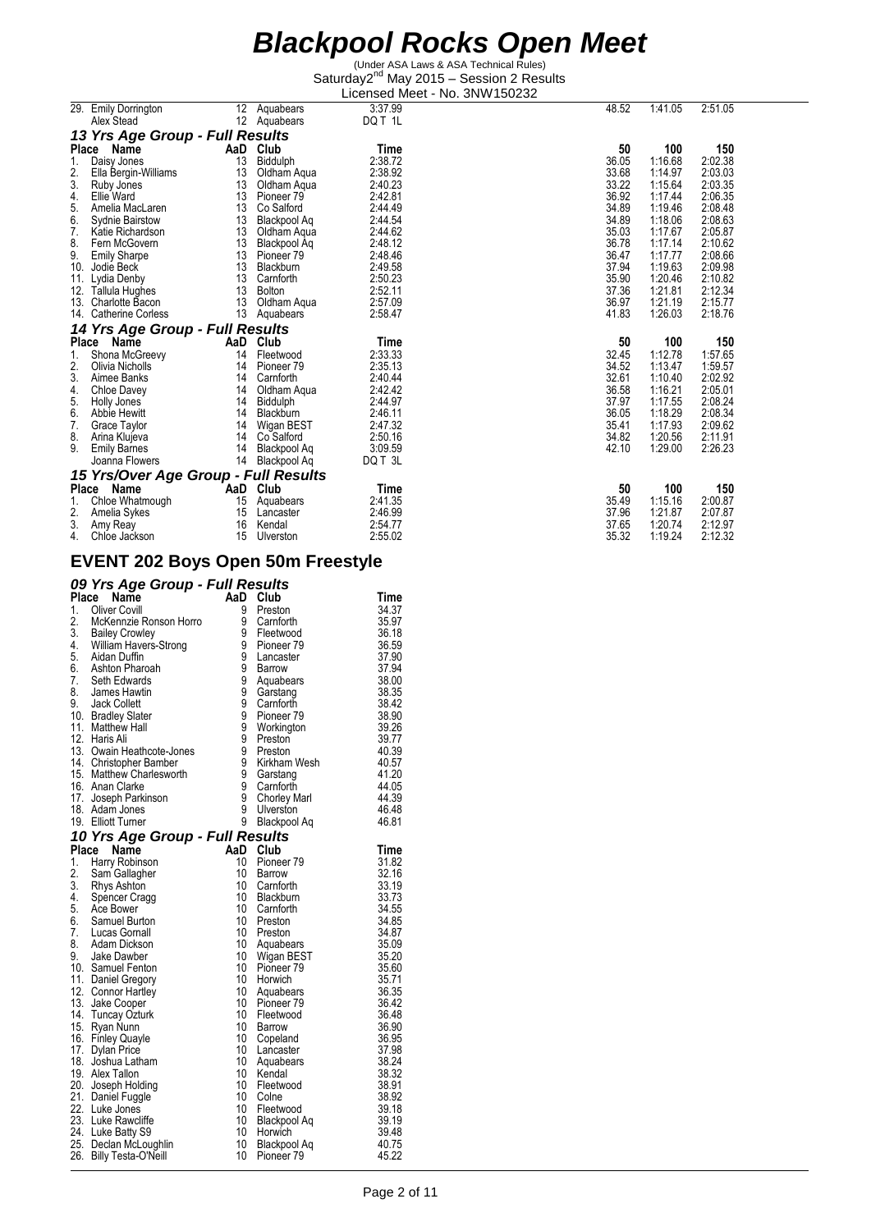(Under ASA Laws & ASA Technical Rules) Saturday2<sup>nd</sup> May 2015 - Session 2 Results Licensed Meet - No. 3NW150232

|       |                                      |     |                       | בוטטווטטש ויוטטו | ,,,,,,,,,,,,,,,,, |       |         |         |
|-------|--------------------------------------|-----|-----------------------|------------------|-------------------|-------|---------|---------|
|       | 29. Emily Dorrington                 | 12  | Aquabears             | 3:37.99          |                   | 48.52 | 1:41.05 | 2:51.05 |
|       | Alex Stead                           | 12  | Aquabears             | DQ T 1L          |                   |       |         |         |
|       | 13 Yrs Age Group - Full Results      |     |                       |                  |                   |       |         |         |
| Place | Name                                 | AaD | Club                  | Time             |                   | 50    | 100     | 150     |
| 1.    | Daisy Jones                          | 13  | Biddulph              | 2:38.72          |                   | 36.05 | 1:16.68 | 2:02.38 |
| 2.    | Ella Bergin-Williams                 | 13  | Oldham Aqua           | 2:38.92          |                   | 33.68 | 1:14.97 | 2:03.03 |
| 3.    | Ruby Jones                           | 13  | Oldham Agua           | 2:40.23          |                   | 33.22 | 1:15.64 | 2:03.35 |
| 4.    | Ellie Ward                           | 13  | Pioneer <sub>79</sub> | 2:42.81          |                   | 36.92 | 1:17.44 | 2:06.35 |
| 5.    | Amelia MacLaren                      | 13  | Co Salford            | 2:44.49          |                   | 34.89 | 1:19.46 | 2:08.48 |
| 6.    | Sydnie Bairstow                      | 13  | Blackpool Aq          | 2:44.54          |                   | 34.89 | 1:18.06 | 2:08.63 |
| 7.    | Katie Richardson                     | 13  | Oldham Agua           | 2:44.62          |                   | 35.03 | 1:17.67 | 2:05.87 |
| 8.    | Fern McGovern                        | 13  | Blackpool Aq          | 2:48.12          |                   | 36.78 | 1:17.14 | 2:10.62 |
| 9.    | <b>Emily Sharpe</b>                  | 13  | Pioneer <sub>79</sub> | 2:48.46          |                   | 36.47 | 1:17.77 | 2:08.66 |
| 10.   | Jodie Beck                           | 13  | Blackburn             | 2:49.58          |                   | 37.94 | 1:19.63 | 2:09.98 |
| 11.   | Lydia Denby                          | 13  | Carnforth             | 2:50.23          |                   | 35.90 | 1:20.46 | 2:10.82 |
| 12.   | Tallula Hughes                       | 13  | <b>Bolton</b>         | 2:52.11          |                   | 37.36 | 1:21.81 | 2:12.34 |
| 13.   | <b>Charlotte Bacon</b>               | 13  | Oldham Aqua           | 2:57.09          |                   | 36.97 | 1:21.19 | 2:15.77 |
| 14.   | <b>Catherine Corless</b>             | 13  | Aquabears             | 2:58.47          |                   | 41.83 | 1:26.03 | 2:18.76 |
|       | 14 Yrs Age Group - Full Results      |     |                       |                  |                   |       |         |         |
| Place | Name                                 | AaD | Club                  | Time             |                   | 50    | 100     | 150     |
| 1.    | Shona McGreevy                       | 14  | Fleetwood             | 2:33.33          |                   | 32.45 | 1:12.78 | 1:57.65 |
| 2.    | Olivia Nicholls                      | 14  | Pioneer 79            | 2:35.13          |                   | 34.52 | 1:13.47 | 1:59.57 |
| 3.    | Aimee Banks                          | 14  | Carnforth             | 2:40.44          |                   | 32.61 | 1:10.40 | 2:02.92 |
| 4.    | Chloe Davey                          | 14  | Oldham Aqua           | 2:42.42          |                   | 36.58 | 1:16.21 | 2:05.01 |
| 5.    | Holly Jones                          | 14  | Biddulph              | 2:44.97          |                   | 37.97 | 1:17.55 | 2:08.24 |
| 6.    | Abbie Hewitt                         | 14  | <b>Blackburn</b>      | 2:46.11          |                   | 36.05 | 1:18.29 | 2:08.34 |
| 7.    | Grace Taylor                         | 14  | Wigan BEST            | 2:47.32          |                   | 35.41 | 1:17.93 | 2:09.62 |
| 8.    | Arina Klujeva                        | 14  | Co Salford            | 2:50.16          |                   | 34.82 | 1:20.56 | 2:11.91 |
| 9.    | <b>Emily Barnes</b>                  | 14  | Blackpool Aq          | 3:09.59          |                   | 42.10 | 1:29.00 | 2:26.23 |
|       | Joanna Flowers                       | 14  | Blackpool Aq          | DQ T 3L          |                   |       |         |         |
|       | 15 Yrs/Over Age Group - Full Results |     |                       |                  |                   |       |         |         |
| Place | Name                                 | AaD | Club                  | Time             |                   | 50    | 100     | 150     |
| 1.    | Chloe Whatmough                      | 15  | Aquabears             | 2:41.35          |                   | 35.49 | 1:15.16 | 2:00.87 |
| 2.    | Amelia Sykes                         | 15  | Lancaster             | 2:46.99          |                   | 37.96 | 1:21.87 | 2:07.87 |
| 3.    | Amy Reay                             | 16  | Kendal                | 2:54.77          |                   | 37.65 | 1:20.74 | 2:12.97 |
| 4.    | Chloe Jackson                        | 15  | Ulverston             | 2:55.02          |                   | 35.32 | 1:19.24 | 2:12.32 |

#### **EVENT 202 Boys Open 50m Freestyle**

#### *09 Yrs Age Group - Full Results*

| Place | Name                            | AaD             | Club                | Time  |
|-------|---------------------------------|-----------------|---------------------|-------|
| 1.    | <b>Oliver Covill</b>            | 9               | Preston             | 34.37 |
| 2.    | McKennzie Ronson Horro          | 9               | Carnforth           | 35.97 |
|       | 3. Bailey Crowley               | 9               | Fleetwood           | 36.18 |
| 4.    | William Havers-Strong           | 9               | Pioneer 79          | 36.59 |
|       | 5. Aidan Duffin                 | 9               | Lancaster           | 37.90 |
|       | 6. Ashton Pharoah               | 9               | Barrow              | 37.94 |
| 7.    | Seth Edwards                    | 9               | Aquabears           | 38.00 |
| 8.    | James Hawtin                    | 9               | Garstang            | 38.35 |
|       | 9. Jack Collett                 | 9               | Carnforth           | 38.42 |
|       | 10. Bradley Slater              | 9               | Pioneer 79          | 38.90 |
|       | 11. Matthew Hall                | 9               | Workington          | 39.26 |
|       | 12. Haris Ali                   | 9               | Preston             | 39.77 |
|       | 13. Owain Heathcote-Jones       | 9               | Preston             | 40.39 |
|       | 14. Christopher Bamber          | 9               | Kirkham Wesh        | 40.57 |
|       | 15. Matthew Charlesworth        | 9               | Garstang            | 41.20 |
|       | 16. Anan Clarke                 | 9               | Carnforth           | 44.05 |
|       | 17. Joseph Parkinson            | 9               | <b>Chorley Marl</b> | 44.39 |
|       | 18. Adam Jones                  | 9               | Ulverston           | 46.48 |
|       | 19. Elliott Turner              | 9               | Blackpool Aq        | 46.81 |
|       | 10 Yrs Age Group - Full Results |                 |                     |       |
|       | Place Name                      | AaD Club        |                     | Time  |
| 1.    | Harry Robinson                  | 10              | Pioneer 79          | 31.82 |
| 2.    | Sam Gallagher                   | 10              | Barrow              | 32.16 |
| 3.    | Rhys Ashton                     | 10              | Carnforth           | 33.19 |
| 4.    | Spencer Cragg                   | $10-10$         | Blackburn           | 33.73 |
|       | 5. Ace Bower                    | 10              | Carnforth           | 34.55 |
| 6.    | Samuel Burton                   |                 | 10 Preston          | 34.85 |
| 7.    | Lucas Gornall                   |                 | 10 Preston          | 34.87 |
| 8.    | Adam Dickson                    | 10              | Aquabears           | 35.09 |
| 9.    | Jake Dawber                     | 10              | Wigan BEST          | 35.20 |
|       | 10. Samuel Fenton               |                 | 10 Pioneer 79       | 35.60 |
|       | 11. Daniel Gregory              | 10              | Horwich             | 35.71 |
|       | 12. Connor Hartley              | 10              | Aquabears           | 36.35 |
|       | 13. Jake Cooper                 | 10              | Pioneer 79          | 36.42 |
|       | 14. Tuncay Ozturk               | 10              | Fleetwood           | 36.48 |
|       | 15. Ryan Nunn                   | $10-10$         | Barrow              | 36.90 |
|       | 16. Finley Quayle               | 10              | Copeland            | 36.95 |
|       | 17. Dylan Price                 | 10 <sup>°</sup> | Lancaster           | 37.98 |
|       | 18. Joshua Latham               | 10              | Aquabears           | 38.24 |
|       | 19. Alex Tallon                 | 10              | Kendal              | 38.32 |
|       | 20. Joseph Holding              | 10              | Fleetwood           | 38.91 |
|       | 21. Daniel Fuggle               | 10              | Colne               | 38.92 |
|       | 22. Luke Jones                  |                 | 10 Fleetwood        | 39.18 |
|       | 23. Luke Rawcliffe              |                 | 10 Blackpool Aq     | 39.19 |
|       | 24. Luke Batty S9               | 10              | 10 Horwich          | 39.48 |
|       | 25. Declan McLoughlin           |                 | Blackpool Aq        | 40.75 |
|       | 26. Billy Testa-O'Neill         | 10              | Pioneer 79          | 45.22 |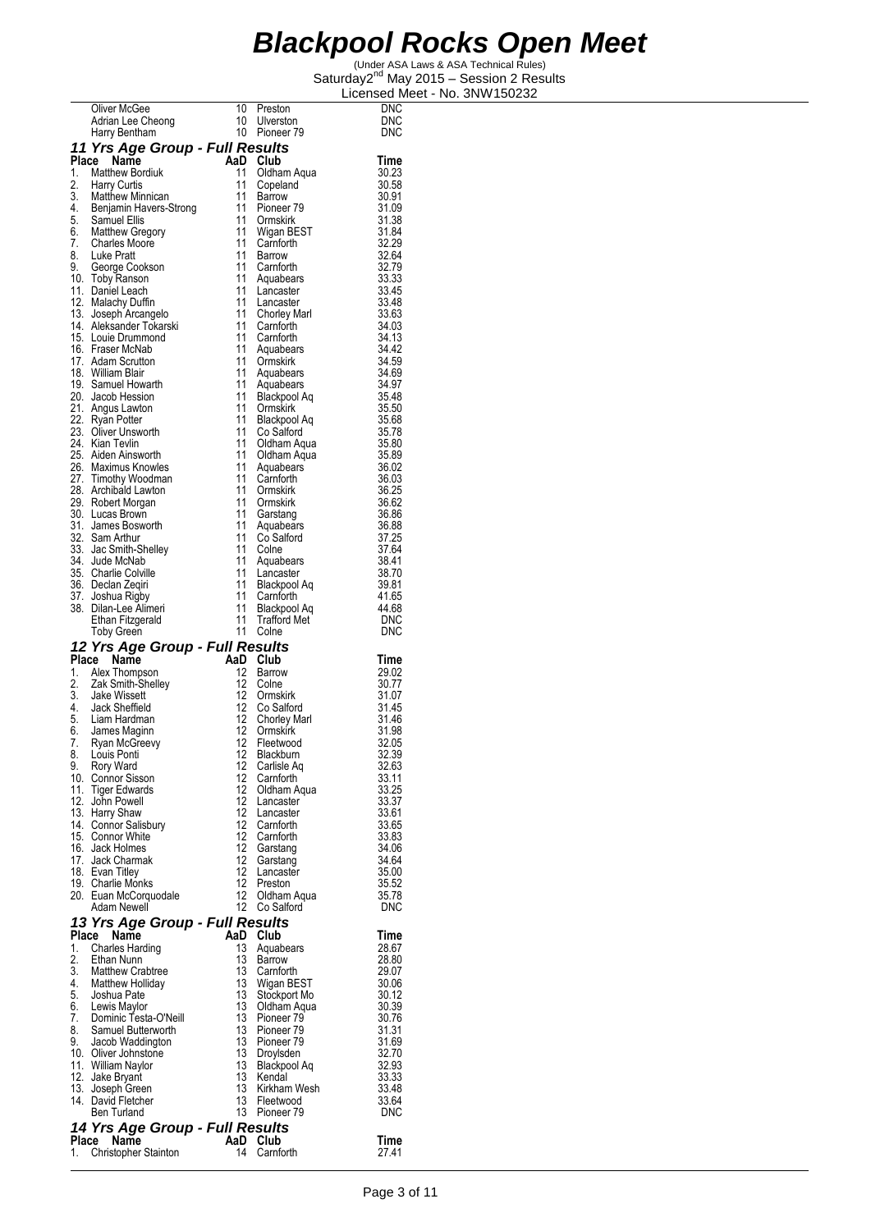|          | Oliver McGee<br>Adrian Lee Cheong 10 Ulverston<br>10 Pioneer 79                        |                |                                     | DNC            |
|----------|----------------------------------------------------------------------------------------|----------------|-------------------------------------|----------------|
|          |                                                                                        |                |                                     | DNC            |
|          |                                                                                        |                |                                     | DNC            |
|          | 11 Yrs Age Group - Full Results                                                        |                |                                     |                |
|          | Place Name<br>1. Matthew Bordiuk                                                       | AaD Club<br>11 | Oldham Aqua                         | Time<br>30.23  |
|          |                                                                                        | 11             | Copeland                            | 30.58          |
|          | 2. Harry Curtis<br>3. Matthew Minnican<br>4. Benjamin Havers-Strong<br>5. Samuel Ellis | 11             | <b>Barrow</b>                       | 30.91          |
|          |                                                                                        |                | 11 Pioneer 79<br>11 Ormskirk        | 31.09          |
|          | 6. Matthew Gregory                                                                     | 11             | Wigan BEST                          | 31.38<br>31.84 |
| 7.       | Charles Moore                                                                          | 11             | Carnforth                           | 32.29          |
| 8.       | Luke Pratt                                                                             | 11             | Barrow                              | 32.64          |
|          | 9. George Cookson                                                                      | 11             | Carnforth                           | 32.79          |
|          | 10. Toby Ranson                                                                        | 11<br>11       | Aquabears                           | 33.33          |
|          | 11. Daniel Leach<br>12. Malachy Duffin                                                 | 11             | Lancaster<br>Lancaster              | 33.45<br>33.48 |
|          | 13. Joseph Arcangelo                                                                   | 11             | Chorley Marl                        | 33.63          |
|          | 14. Aleksander Tokarski                                                                | 11             | Carnforth                           | 34.03          |
|          | 15. Louie Drummond                                                                     | 11             | Carnforth                           | 34.13          |
|          | 16. Fraser McNab<br>17. Adam Scrutton                                                  | 11<br>11       | Aquabears<br>Ormskirk               | 34.42<br>34.59 |
|          | 18. William Blair                                                                      | 11             | Aquabears                           | 34.69          |
|          | 19. Samuel Howarth                                                                     | 11             | Aquabears                           | 34.97          |
|          | 20. Jacob Hession                                                                      | 11             | Blackpool Aq                        | 35.48          |
|          | 21. Angus Lawton<br>22. Ryan Potter                                                    | 11<br>11       | Ormskirk                            | 35.50          |
|          | 23. Oliver Unsworth                                                                    | 11             | Blackpool Aq<br>Co Salford          | 35.68<br>35.78 |
|          | 24. Kian Tevlin                                                                        | 11             | Oldham Aqua                         | 35.80          |
|          | 25. Aiden Ainsworth                                                                    | 11             | Oldham Aqua                         | 35.89          |
|          | 26. Maximus Knowles                                                                    | 11             | Aquabears                           | 36.02          |
|          | 27. Timothy Woodman<br>28. Archibald Lawton                                            | 11<br>11       | Carnforth<br>Ormskirk               | 36.03<br>36.25 |
|          | 29. Robert Morgan                                                                      | 11             | Ormskirk                            | 36.62          |
|          | 30. Lucas Brown                                                                        | 11             | Garstang                            | 36.86          |
|          | 31. James Bosworth                                                                     | 11             | Aquabears                           | 36.88          |
|          | 32. Sam Arthur                                                                         | 11<br>11       | Co Salford                          | 37.25          |
|          | 33. Jac Smith-Shelley<br>34. Jude McNab                                                | 11             | Colne<br>Aquabears                  | 37.64<br>38.41 |
|          | 35. Charlie Colville                                                                   | 11             | Lancaster                           | 38.70          |
|          | 36. Declan Zeqiri                                                                      | 11             | Blackpool Aq                        | 39.81          |
|          | 37. Joshua Rigby<br>38. Dilan-Lee Alimeri                                              | 11<br>11       | Carnforth                           | 41.65<br>44.68 |
|          | Ethan Fitzgerald                                                                       | 11             | Blackpool Aq<br><b>Trafford Met</b> | DNC            |
|          | <b>Toby Green</b>                                                                      |                | 11 Colne                            | <b>DNC</b>     |
|          | 12 Yrs Age Group - Full Results                                                        |                |                                     |                |
|          | Place Name                                                                             | AaD Club       |                                     | Time           |
|          | 1. Alex Thompson                                                                       | 12             | Barrow                              | 29.02          |
| 2.       | Zak Smith-Shelley<br>3. Jake Wissett                                                   | 12<br>12       | Colne<br>Ormskirk                   | 30.77<br>31.07 |
|          | 4. Jack Sheffield                                                                      | 12             | Co Salford                          | 31.45          |
|          | 5. Liam Hardman                                                                        | 12             | Chorley Marl                        | 31.46          |
|          | 6. James Maginn                                                                        | 12             | Ormskirk                            | 31.98          |
| 7.       | Ryan McGreevy<br>8. Louis Ponti                                                        | 12             | Fleetwood<br>12 Blackburn           | 32.05<br>32.39 |
| 9.       | Rory Ward                                                                              | 12             | Carlisle Aq                         | 32.63          |
|          | 10. Connor Sisson                                                                      | 12             | Carnforth                           | 33.11          |
|          | 11. Tiger Edwards                                                                      | 12             | Oldham Aqua                         | 33.25          |
|          | 12. John Powell                                                                        | 12<br>12       | Lancaster                           | 33.37          |
|          | 13. Harry Shaw<br>14. Connor Salisbury                                                 | 12             | Lancaster<br>Carnforth              | 33.61<br>33.65 |
|          | 15. Connor White                                                                       | 12             | Carnforth                           | 33.83          |
|          | 16. Jack Holmes                                                                        | 12             | Garstang                            | 34.06          |
|          | 17. Jack Charmak                                                                       | 12             | Garstang                            | 34.64          |
|          | 18. Evan Titley<br>19. Charlie Monks                                                   | 12<br>12       | Lancaster<br>Preston                | 35.00<br>35.52 |
|          | 20. Euan McCorquodale                                                                  | 12             | Oldham Aqua                         | 35.78          |
|          | Adam Newell                                                                            | 12             | Co Salford                          | <b>DNC</b>     |
|          | 13 Yrs Age Group - Full Results                                                        |                |                                     |                |
|          | Place<br>Name                                                                          | AaD            | Club                                | Time           |
| 1.       | <b>Charles Harding</b>                                                                 | 13<br>13       | Aquabears                           | 28.67          |
| 2.<br>3. | Ethan Nunn<br>Matthew Crabtree                                                         | 13             | Barrow<br>Carnforth                 | 28.80<br>29.07 |
| 4.       | Matthew Holliday                                                                       | 13             | Wigan BEST                          | 30.06          |
|          | 5. Joshua Pate<br>6. Lewis Maylor                                                      | 13             | Stockport Mo                        | 30.12          |
|          |                                                                                        | 13             | Oldham Aqua                         | 30.39          |
| 7.<br>8. | Dominic Testa-O'Neill<br>Samuel Butterworth                                            | 13<br>13       | Pioneer 79<br>Pioneer 79            | 30.76<br>31.31 |
|          | 9. Jacob Waddington                                                                    | 13             | Pioneer 79                          | 31.69          |
|          | 10. Oliver Johnstone                                                                   | 13             | Droylsden                           | 32.70          |
|          | 11. William Naylor                                                                     | 13             | Blackpool Aq                        | 32.93          |
|          | 12. Jake Bryant<br>13. Joseph Green                                                    | 13<br>13       | Kendal<br>Kirkham Wesh              | 33.33<br>33.48 |
|          | 14. David Fletcher                                                                     | 13             | Fleetwood                           | 33.64          |
|          | Ben Turland                                                                            | 13             | Pioneer 79                          | <b>DNC</b>     |
|          | 14 Yrs Age Group - Full Results                                                        |                |                                     |                |
|          | Place Name                                                                             | AaD Club       |                                     | Time           |
| 1.       | Christopher Stainton                                                                   | 14             | Carnforth                           | 27.41          |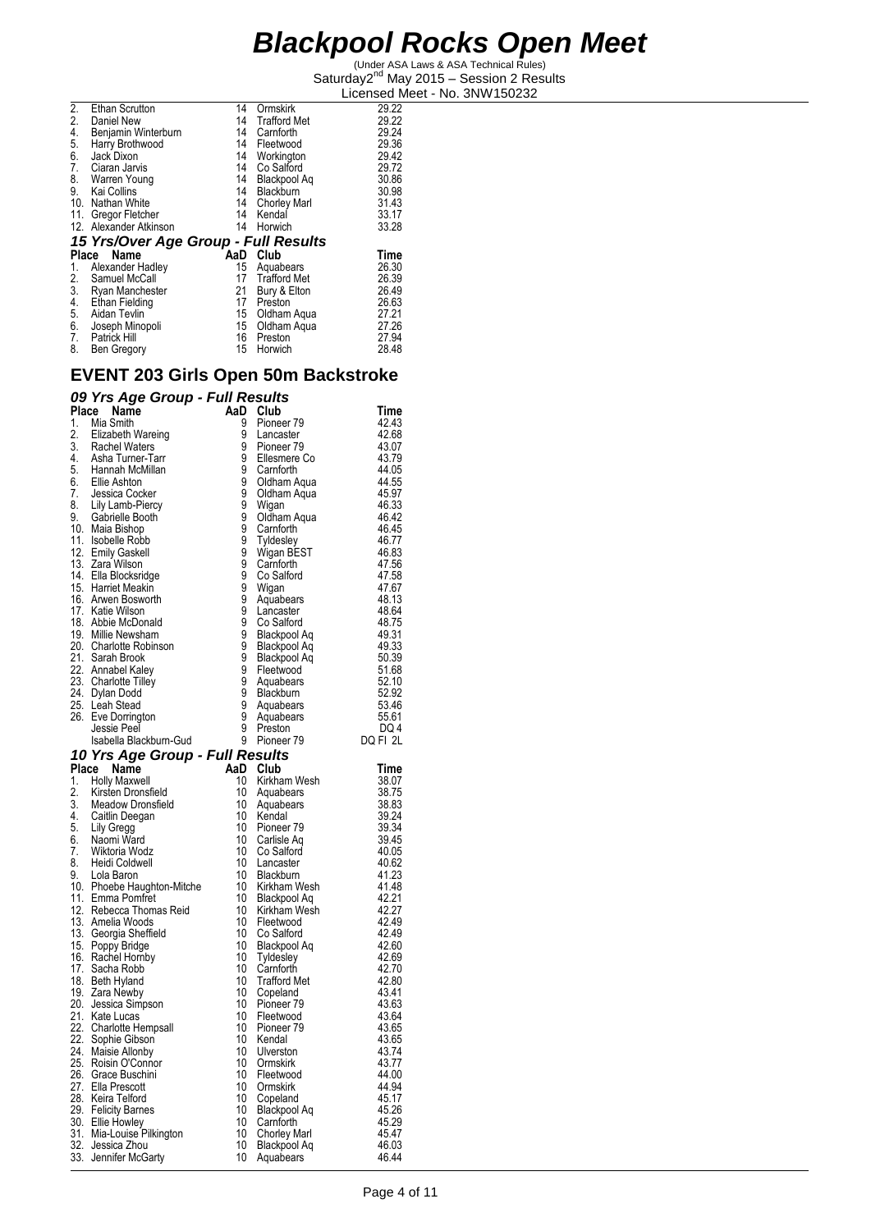(Under ASA Laws & ASA Technical Rules) Saturday2<sup>nd</sup> May 2015 - Session 2 Results Licensed Meet - No. 3NW150232

| <b>Ethan Scrutton</b>       | 14               | Ormskirk            | 29.22                                |
|-----------------------------|------------------|---------------------|--------------------------------------|
| Daniel New                  | 14               | <b>Trafford Met</b> | 29.22                                |
| Benjamin Winterburn         | 14               | Carnforth           | 29.24                                |
| Harry Brothwood             | 14               | Fleetwood           | 29.36                                |
| Jack Dixon                  | 14               | Workington          | 29.42                                |
| Ciaran Jarvis               | 14               | Co Salford          | 29.72                                |
| Warren Young                | 14               | Blackpool Aq        | 30.86                                |
| Kai Collins                 | 14               | Blackburn           | 30.98                                |
|                             | 14               | <b>Chorley Marl</b> | 31.43                                |
| Gregor Fletcher             | 14               | Kendal              | 33.17                                |
| 12. Alexander Atkinson      | 14               | Horwich             | 33.28                                |
|                             |                  |                     |                                      |
|                             |                  |                     |                                      |
| Name<br>Place               | AaD              | Club                | Time                                 |
| Alexander Hadley            | 15               | Aquabears           | 26.30                                |
| Samuel McCall               | 17               | <b>Trafford Met</b> | 26.39                                |
| Ryan Manchester             | 21               | Bury & Elton        | 26.49                                |
| Ethan Fielding              | 17               | Preston             | 26.63                                |
| Aidan Tevlin                | 15               | Oldham Aqua         | 27.21                                |
| Joseph Minopoli             | 15               | Oldham Aqua         | 27.26                                |
| Patrick Hill<br>Ben Gregory | 16<br>15         | Preston             | 27.94<br>28.48                       |
|                             | 10. Nathan White |                     | 15 Yrs/Over Age Group - Full Results |

#### **EVENT 203 Girls Open 50m Backstroke**

#### *09 Yrs Age Group - Full Results*

| Place | Name                                                                                                                              | AaD                        | Club                                                     | Time           |
|-------|-----------------------------------------------------------------------------------------------------------------------------------|----------------------------|----------------------------------------------------------|----------------|
| 1.    | Mia Smith                                                                                                                         | 9                          | Pioneer 79                                               | 42.43          |
| 2.    | Elizabeth Wareing                                                                                                                 | 9                          | Lancaster                                                | 42.68          |
|       | 3. Rachel Waters                                                                                                                  | 9                          | Pioneer <sub>79</sub>                                    | 43.07          |
|       |                                                                                                                                   | $\frac{9}{9}$              | Ellesmere Co                                             | 43.79          |
|       |                                                                                                                                   |                            | Carnforth                                                | 44.05          |
|       | 9. Novino Transmitter<br>1. Asha Turner-Tarr<br>5. Hannah McMillan<br>6. Ellie Ashton<br>7. Jessica Cocker<br>8. Lily Lamb-Piercy | $\frac{9}{9}$              | Oldham Aqua                                              | 44.55          |
|       |                                                                                                                                   |                            | Oldham Aqua                                              | 45.97          |
|       |                                                                                                                                   | ğ                          | Wigan                                                    | 46.33          |
| 9.    | Gabrielle Booth                                                                                                                   | 9<br>9                     | Oldham Aqua                                              | 46.42          |
|       | 10. Maia Bishop                                                                                                                   |                            | Carnforth                                                | 46.45          |
|       | 11. Isobelle Robb                                                                                                                 | ğ<br>9                     | Tyldesley<br>Wigan BEST                                  | 46.77          |
|       | 12. Emily Gaskell                                                                                                                 | ğ                          |                                                          | 46.83<br>47.56 |
|       | 13. Zara Wilson<br>14. Ella Blocksridge                                                                                           | $\tilde{9}$                | Carnforth<br>Co Salford                                  | 47.58          |
|       | 15. Harriet Meakin                                                                                                                |                            | Wigan                                                    | 47.67          |
|       | 16. Arwen Bosworth                                                                                                                | 9<br>9<br>9<br>9<br>9<br>9 | Aquabears                                                | 48.13          |
|       | 17. Katie Wilson                                                                                                                  |                            | Lancaster                                                | 48.64          |
|       | 18. Abbie McDonald                                                                                                                |                            | Co Salford                                               | 48.75          |
|       | 19. Millie Newsham                                                                                                                |                            | Blackpool Aq                                             | 49.31          |
|       | 20. Charlotte Robinson                                                                                                            | $\frac{9}{9}$              | Blackpool Aq                                             | 49.33          |
|       | 21. Sarah Brook                                                                                                                   |                            | Blackpool Aq                                             | 50.39          |
|       | 22. Annabel Kaley                                                                                                                 |                            |                                                          | 51.68          |
|       | 23. Charlotte Tilley                                                                                                              |                            |                                                          | 52.10          |
|       | 24. Dylan Dodd                                                                                                                    |                            |                                                          | 52.92          |
|       | 25. Leah Stead                                                                                                                    |                            | 9 Fleetwood<br>9 Aquabears<br>9 Blackburn<br>9 Aquabears | 53.46          |
|       | 26. Eve Dorrington                                                                                                                | $\overline{9}$             | Aquabears                                                | 55.61          |
|       | Jessie Peel                                                                                                                       | ğ                          | Preston                                                  | DQ 4           |
|       | Isabella Blackburn-Gud                                                                                                            | 9                          | Pioneer <sub>79</sub>                                    | DQ FI 2L       |
|       | 10 Yrs Age Group - Full Results                                                                                                   |                            |                                                          |                |
|       | Place Name                                                                                                                        |                            | AaD Club                                                 | Time           |
| 1.    | Holly Maxwell                                                                                                                     | 10                         | Kirkham Wesh                                             | 38.07          |
| 2.    | Kirsten Dronsfield                                                                                                                | 10 <sup>°</sup>            | Aquabears                                                | 38.75<br>38.83 |
|       | 3. Meadow Dronsfield<br>4. Caitlin Deegan                                                                                         | 10                         | Aquabears                                                |                |
| 5.    |                                                                                                                                   | 10 <sup>°</sup><br>10      | Kendal                                                   | 39.24<br>39.34 |
| 6.    | Lily Gregg<br>Naomi Ward                                                                                                          | 10                         | Pioneer 79                                               | 39.45          |
| 7.    | Wiktoria Wodz                                                                                                                     | 10                         | Carlisle Aq<br>Co Salford                                | 40.05          |
| 8.    | Heidi Coldwell                                                                                                                    | 10                         | Lancaster                                                | 40.62          |
| 9.    | Lola Baron                                                                                                                        | 10 <sup>°</sup>            | Blackburn                                                | 41.23          |
|       | 10. Phoebe Haughton-Mitche                                                                                                        | 10                         | Kirkham Wesh                                             | 41.48          |
|       | 11. Emma Pomfret                                                                                                                  | 10                         | Blackpool Aq                                             | 42.21          |
|       | 12. Rebecca Thomas Reid                                                                                                           | 10                         | Kirkham Wesh                                             | 42.27          |
|       | 13. Amelia Woods                                                                                                                  | 10                         | Fleetwood                                                | 42.49          |
|       | 13. Georgia Sheffield                                                                                                             | 10                         | Co Salford                                               | 42.49          |
|       | 15. Poppy Bridge                                                                                                                  | 10                         | Blackpool Aq                                             | 42.60          |
|       | 16. Rachel Hornby                                                                                                                 | 10 <sup>°</sup>            | Tyldesley                                                | 42.69          |
|       | 17. Sacha Robb                                                                                                                    | 10                         | Carnforth                                                | 42.70          |
|       | 18. Beth Hyland<br>19. Zara Newby                                                                                                 | 10                         | <b>Trafford Met</b>                                      | 42.80          |
|       |                                                                                                                                   | 10                         | Copeland                                                 | 43.41          |
|       | 20. Jessica Simpson                                                                                                               | 10                         | Pioneer 79                                               | 43.63          |
|       | 21. Kate Lucas                                                                                                                    | 10<br>10                   | Fleetwood                                                | 43.64          |
|       | 22. Charlotte Hempsall                                                                                                            | 10                         | Pioneer <sub>79</sub><br>Kendal                          | 43.65<br>43.65 |
|       | 22. Sophie Gibson                                                                                                                 | 10                         | Ulverston                                                | 43.74          |
|       | 24. Maisie Allonby<br>25. Roisin O'Connor                                                                                         | 10 <sup>°</sup>            | Ormskirk                                                 | 43.77          |
|       | 26. Grace Buschini                                                                                                                | 10                         | Fleetwood                                                | 44.00          |
|       | 27. Ella Prescott                                                                                                                 | 10                         | Ormskirk                                                 | 44.94          |
|       | 28. Keira Telford                                                                                                                 | 10                         | Copeland                                                 | 45.17          |
|       | 29. Felicity Barnes                                                                                                               | 10                         | Blackpool Aq                                             | 45.26          |
|       | 30. Ellie Howley                                                                                                                  | 10                         | Carnforth                                                | 45.29          |
|       | 31. Mia-Louise Pilkington                                                                                                         | 10                         | Chorley Marl                                             | 45.47          |
|       | 32. Jessica Zhou                                                                                                                  | 10                         | Blackpool Aq                                             | 46.03          |
|       | 33. Jennifer McGarty                                                                                                              | 10                         | Aquabears                                                | 46.44          |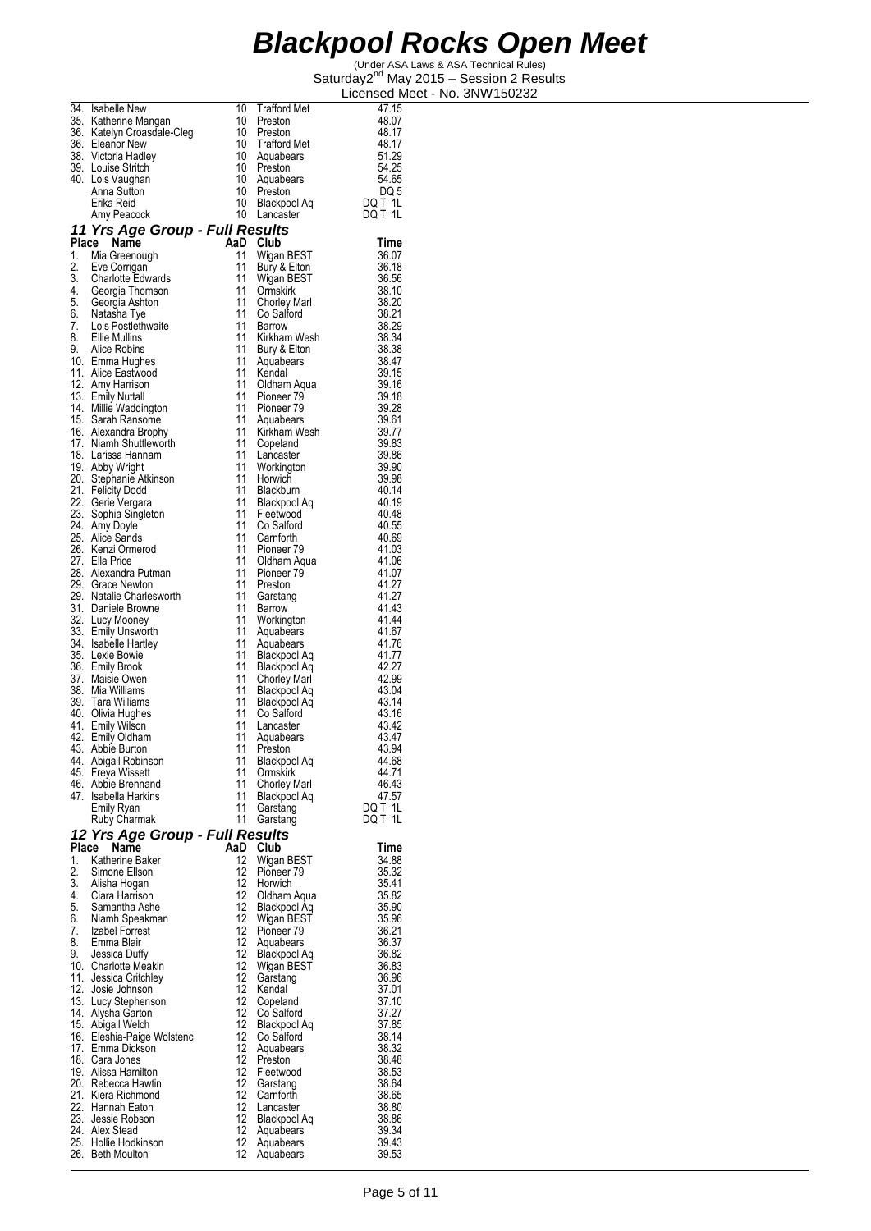|          | 34. Isabelle New                                                                                                                | 10        | <b>Trafford Met</b>                 | 47.15          |
|----------|---------------------------------------------------------------------------------------------------------------------------------|-----------|-------------------------------------|----------------|
|          | 35. Katherine Mangan<br>36. Katelyn Croasdale-Cleg                                                                              | 10<br>10  | Preston<br>Preston                  | 48.07<br>48.17 |
|          | 36. Eleanor New                                                                                                                 | 10        | <b>Trafford Met</b>                 | 48.17          |
|          | 38. Victoria Hadley                                                                                                             | 10        | Aquabears                           | 51.29          |
|          | 39. Louise Stritch<br>40. Lois Vaughan                                                                                          | 10        | Preston<br>10 Aquabears             | 54.25<br>54.65 |
|          | Anna Sutton                                                                                                                     | 10        | Preston                             | DQ 5           |
|          | Erika Reid                                                                                                                      | 10        | Blackpool Aq                        | DQ T 1L        |
|          | Amy Peacock                                                                                                                     | 10        | Lancaster                           | DQ T 1L        |
| Place    | 11 Yrs Age Group - Full Results                                                                                                 | AaD       |                                     |                |
| 1.       | Name<br>Mia Greenough                                                                                                           | 11        | Club<br>Wigan BEST                  | Time<br>36.07  |
| 2.       | Eve Corrigan                                                                                                                    | 11        | Bury & Elton                        | 36.18          |
|          |                                                                                                                                 | 11        | Wigan BEST                          | 36.56          |
|          |                                                                                                                                 | 11<br>11  | Ormskirk                            | 38.10<br>38.20 |
|          |                                                                                                                                 | 11        | <b>Chorley Marl</b><br>Co Salford   | 38.21          |
|          | 2. Charlotte Edwards<br>3. Charlotte Edwards<br>5. Georgia Ashton<br>6. Natasha Tye<br>7. Lois Postlettwaite<br>7. Lois Mulling | 11        | Barrow                              | 38.29          |
|          | 8. Ellie Mullins                                                                                                                | 11        | Kirkham Wesh                        | 38.34          |
|          | 9. Alice Robins<br>10. Emma Hughes                                                                                              | 11<br>11  | Bury & Elton<br>Aquabears           | 38.38<br>38.47 |
|          | 11. Alice Eastwood                                                                                                              | 11        | Kendal                              | 39.15          |
|          | 12. Amy Harrison                                                                                                                | 11        | Oldham Aqua                         | 39.16          |
|          | 13. Emily Nuttall<br>14. Millie Waddington                                                                                      | 11<br>11  | Pioneer 79<br>Pioneer 79            | 39.18<br>39.28 |
|          | 15. Sarah Ransome                                                                                                               | 11        | Aquabears                           | 39.61          |
|          | 16. Alexandra Brophy                                                                                                            |           | 11 Kirkham Wesh                     | 39.77          |
|          | 17. Niamh Shuttleworth                                                                                                          |           | 11 Copeland                         | 39.83          |
|          | 18. Larissa Hannam<br>19. Abby Wright                                                                                           | 11<br>11  | Lancaster<br>Workington             | 39.86<br>39.90 |
|          | 20. Stephanie Atkinson                                                                                                          | 11        | Horwich                             | 39.98          |
|          | 21. Felicity Dodd                                                                                                               | 11        | Blackburn                           | 40.14          |
|          | 22. Gerie Vergara                                                                                                               | 11<br>11  | Blackpool Aq                        | 40.19          |
|          | 23. Sophia Singleton<br>24. Amy Doyle                                                                                           | 11        | Fleetwood<br>Co Salford             | 40.48<br>40.55 |
|          | 25. Alice Sands                                                                                                                 | 11        | Carnforth                           | 40.69          |
|          | 26. Kenzi Ormerod                                                                                                               | 11        | Pioneer 79                          | 41.03          |
|          | 27. Ella Price<br>28. Alexandra Putman                                                                                          | 11<br>11  | Oldham Aqua<br>Pioneer 79           | 41.06<br>41.07 |
|          | 29. Grace Newton                                                                                                                | 11        | Preston                             | 41.27          |
|          | 29. Natalie Charlesworth                                                                                                        | 11        | Garstang                            | 41.27          |
|          | 31. Daniele Browne<br>32. Lucy Mooney                                                                                           | 11        | Barrow                              | 41.43          |
|          | 33. Emily Unsworth                                                                                                              | 11<br>11  | Workington<br>Aquabears             | 41.44<br>41.67 |
|          | 34. Isabelle Hartley                                                                                                            | 11        | Aquabears                           | 41.76          |
|          | 35. Lexie Bowie                                                                                                                 | 11        | Blackpool Aq                        | 41.77          |
|          | 36. Emily Brook<br>37. Maisie Owen                                                                                              | 11<br>11  | Blackpool Aq                        | 42.27<br>42.99 |
|          | 38. Mia Williams                                                                                                                | 11        | <b>Chorley Marl</b><br>Blackpool Aq | 43.04          |
|          | 39. Tara Williams                                                                                                               | 11        | Blackpool Aq                        | 43.14          |
|          | 40. Olivia Hughes                                                                                                               | 11        | Co Salford                          | 43.16          |
|          | 41. Emily Wilson<br>42. Emily Oldham                                                                                            | 11<br>11  | Lancaster<br>Aquabears              | 43.42<br>43.47 |
|          | 43. Abbie Burton                                                                                                                | 11        | Preston                             | 43.94          |
|          | 44. Abigail Robinson                                                                                                            | 11        | Blackpool Aq                        | 44.68          |
| 45.      | Freya Wissett<br>46. Abbie Brennand                                                                                             | 11<br>11  | Ormskirk<br>Chorley Marl            | 44.71<br>46.43 |
|          | 47. Isabella Harkins                                                                                                            | 11        | Blackpool Aq                        | 47.57          |
|          | Emily Ryan                                                                                                                      | 11        | Garstang                            | DQ T 1L        |
|          | Ruby Charmak                                                                                                                    | 11        | Garstang                            | DQ T 1L        |
| Place    | 12 Yrs Age Group - Full Results<br>Name                                                                                         |           |                                     |                |
| 1.       | Katherine Baker                                                                                                                 | AaD<br>12 | Club<br>Wigan BEST                  | Time<br>34.88  |
| 2.       | Simone Ellson                                                                                                                   | 12        | Pioneer <sub>79</sub>               | 35.32          |
| 3.       | Alisha Hogan                                                                                                                    | 12        | Horwich                             | 35.41          |
| 4.<br>5. | Ciara Harrison<br>Samantha Ashe                                                                                                 | 12<br>12  | Oldham Aqua<br>Blackpool Aq         | 35.82<br>35.90 |
| 6.       | Niamh Speakman                                                                                                                  | 12        | Wigan BEST                          | 35.96          |
| 7.       | Izabel Forrest                                                                                                                  | 12        | Pioneer 79                          | 36.21          |
| 8.       | Emma Blair                                                                                                                      | 12        | Aquabears                           | 36.37          |
| 9.       | Jessica Duffy<br>10. Charlotte Meakin                                                                                           | 12<br>12  | Blackpool Aq<br>Wigan BEST          | 36.82<br>36.83 |
|          | 11. Jessica Critchley                                                                                                           | 12        | Garstang                            | 36.96          |
|          | 12. Josie Johnson                                                                                                               | 12        | Kendal                              | 37.01          |
|          | 13. Lucy Stephenson<br>14. Alysha Garton                                                                                        | 12<br>12  | Copeland<br>Co Salford              | 37.10<br>37.27 |
|          | 15. Abigail Welch                                                                                                               | 12        | Blackpool Aq                        | 37.85          |
|          | 16. Eleshia-Paige Wolstenc                                                                                                      | 12        | Co Salford                          | 38.14          |
|          | 17. Emma Dickson                                                                                                                | 12        | Aquabears                           | 38.32          |
|          | 18. Cara Jones<br>19. Alissa Hamilton                                                                                           | 12<br>12  | Preston<br>Fleetwood                | 38.48<br>38.53 |
|          | 20. Rebecca Hawtin                                                                                                              | 12        | Garstang                            | 38.64          |
|          | 21. Kiera Richmond                                                                                                              | 12        | Carnforth                           | 38.65          |
|          | 22. Hannah Eaton<br>23. Jessie Robson                                                                                           | 12<br>12  | Lancaster<br>Blackpool Aq           | 38.80<br>38.86 |
|          | 24. Alex Stead                                                                                                                  | 12        | Aquabears                           | 39.34          |
|          | 25. Hollie Hodkinson                                                                                                            | 12        | Aquabears                           | 39.43          |
| 26.      | Beth Moulton                                                                                                                    | 12        | Aquabears                           | 39.53          |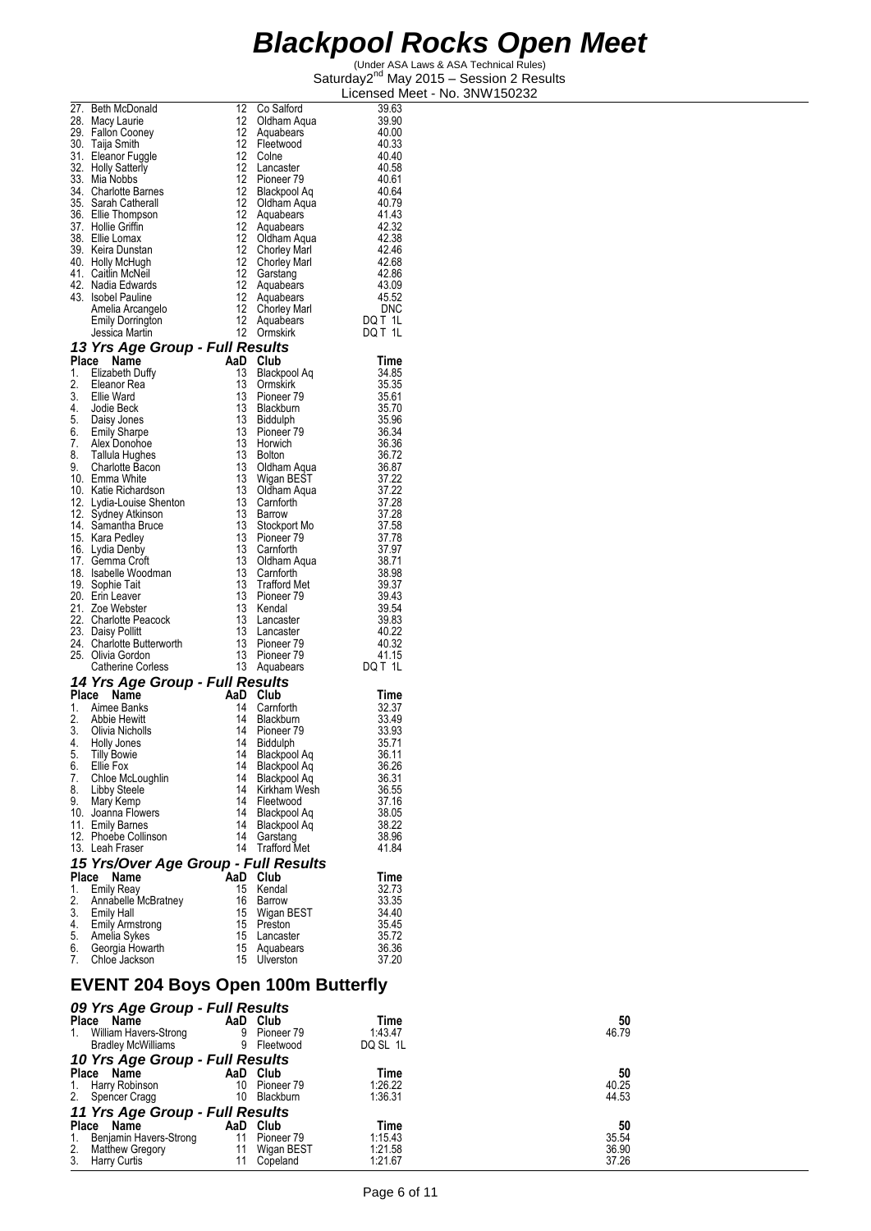(Under ASA Laws & ASA Technical Rules) Saturday2<sup>nd</sup> May 2015 - Session 2 Results Licensed Meet - No. 3NW150232

|    | 27. Beth McDonald                                                                                                                                | 12                | Co Salford            | 39.63             |
|----|--------------------------------------------------------------------------------------------------------------------------------------------------|-------------------|-----------------------|-------------------|
|    | 28. Macy Laurie                                                                                                                                  | 12                | Oldham Aqua           | 39.90             |
|    | 29. Fallon Cooney                                                                                                                                | 12                | Aquabears             | 40.00             |
|    | 30. Taija Smith                                                                                                                                  | 12                | Fleetwood             | 40.33             |
|    | 31. Eleanor Fuggle                                                                                                                               | 12                | Colne                 | 40.40             |
|    | 32. Holly Satterly                                                                                                                               | 12                |                       | 40.58             |
|    |                                                                                                                                                  | 12                | Lancaster             | 40.61             |
|    | 33. Mia Nobbs                                                                                                                                    |                   | Pioneer <sub>79</sub> |                   |
|    | 34. Charlotte Barnes<br>35. Sarah Catherall                                                                                                      | 12 <sup>°</sup>   | Blackpool Aq          | 40.64             |
|    |                                                                                                                                                  | 12                | Oldham Aqua           | 40.79             |
|    | 36. Ellie Thompson                                                                                                                               | $12 \overline{ }$ | Aquabears             | 41.43             |
|    | 37. Hollie Griffin                                                                                                                               | $12 \overline{ }$ | Aquabears             | 42.32             |
|    | 38. Ellie Lomax                                                                                                                                  | 12                | Oldham Aqua           | 42.38             |
|    | 39. Keira Dunstan                                                                                                                                | $12 \overline{ }$ | <b>Chorley Marl</b>   | 42.46             |
|    |                                                                                                                                                  | 12 <sup>°</sup>   | <b>Chorley Marl</b>   | 42.68             |
|    | 40. Holly McHugh<br>41. Caitlin McNeil                                                                                                           | 12                | Garstang              | 42.86             |
|    | 42. Nadia Edwards                                                                                                                                | $12 \overline{ }$ | Aquabears             | 43.09             |
|    | 43. Isobel Pauline                                                                                                                               | 12                | Aquabears             | 45.52             |
|    | Amelia Arcangelo                                                                                                                                 | 12                | <b>Chorley Marl</b>   | <b>DNC</b>        |
|    |                                                                                                                                                  | 12 <sup>12</sup>  |                       | DQT <sub>1L</sub> |
|    | <b>Emily Dorrington</b>                                                                                                                          |                   | Aquabears             |                   |
|    | Jessica Martin                                                                                                                                   | 12                | Ormskirk              | DQ T 1L           |
|    | 13 Yrs Age Group - Full Results                                                                                                                  |                   |                       |                   |
|    | Place Name                                                                                                                                       |                   | AaD Club              | Time              |
|    | 1. Elizabeth Duffy                                                                                                                               | 13                | Blackpool Aq          | 34.85             |
|    | 2. Eleanor Rea<br>3. Ellie Ward                                                                                                                  | 13                | Ormskirk              | 35.35             |
|    |                                                                                                                                                  | 13                | Pioneer 79            | 35.61             |
|    |                                                                                                                                                  | 13                | Blackburn             | 35.70             |
|    |                                                                                                                                                  | 13                | <b>Biddulph</b>       | 35.96             |
|    |                                                                                                                                                  | 13                | Pioneer 79            | 36.34             |
|    |                                                                                                                                                  | 13                | Horwich               | 36.36             |
|    |                                                                                                                                                  | 13                |                       |                   |
|    | 3. Line was<br>1. Jodie Beck<br>5. Daisy Jones<br>6. Emily Sharpe<br>7. Alex Donohoe<br>8. Tallula Hughes<br>9. Charlotte Bacon<br>4. Line Bacon |                   | <b>Bolton</b>         | 36.72             |
|    |                                                                                                                                                  | 13                | Oldham Aqua           | 36.87             |
|    | 10. Emma White                                                                                                                                   | 13                | Wigan BEST            | 37.22<br>37.22    |
|    | 10. Katie Richardson                                                                                                                             | 13                | Oldham Aqua           |                   |
|    | 12. Lydia-Louise Shenton                                                                                                                         | 13                | Carnforth             | 37.28             |
|    | 12. Sydney Atkinson                                                                                                                              | 13                | Barrow                | 37.28             |
|    | 14. Samantha Bruce                                                                                                                               | 13                | Stockport Mo          | 37.58             |
|    | 15. Kara Pedley                                                                                                                                  | 13                | Pioneer 79            | 37.78             |
|    | 16. Lydia Denby                                                                                                                                  | 13                | Carnforth             |                   |
|    | 17. Gemma Croft                                                                                                                                  | 13                | Oldham Aqua           | 37.97<br>38.71    |
|    | 18. Isabelle Woodman                                                                                                                             | 13                | Carnforth             | 38.98             |
|    | 19. Sophie Tait                                                                                                                                  | 13                | <b>Trafford Met</b>   | 39.37             |
|    | 20. Erin Leaver                                                                                                                                  | 13                | Pioneer 79            | 39.43             |
|    | 21. Zoe Webster                                                                                                                                  | 13                | Kendal                | 39.54             |
|    | 22. Charlotte Peacock                                                                                                                            | 13                | Lancaster             | 39.83             |
|    | 23. Daisy Pollitt                                                                                                                                | 13                | Lancaster             | 40.22             |
|    | 24. Charlotte Butterworth                                                                                                                        | 13                | Pioneer <sub>79</sub> | 40.32             |
|    | 25. Olivia Gordon                                                                                                                                | 13                | Pioneer 79            | 41.15             |
|    | <b>Catherine Corless</b>                                                                                                                         |                   | 13 Aquabears          | DQ T 1L           |
|    |                                                                                                                                                  |                   |                       |                   |
|    | 14 Yrs Age Group - Full Results                                                                                                                  |                   |                       |                   |
|    | Place<br>Name                                                                                                                                    |                   | AaD Club              | Time              |
|    | 1. Aimee Banks                                                                                                                                   | 14                | Carnforth             | 32.37             |
|    | 2. Abbie Hewitt                                                                                                                                  | 14                | Blackburn             | 33.49             |
|    | 3. Olivia Nicholls                                                                                                                               | 14                | Pioneer <sub>79</sub> | 33.93             |
|    | 4. Holly Jones                                                                                                                                   | 14                | Biddulph              | 35.71             |
| 5. | Tilly Bowie                                                                                                                                      |                   | 14 Blackpool Aq       | 36.11             |
| 6. | Ellie Fox                                                                                                                                        | 14                | Blackpool Aq          | 36.26             |
| 7. | Chloe McLoughlin                                                                                                                                 | 14                | Blackpool Aq          | 36.31             |
| 8. | <b>Libby Steele</b>                                                                                                                              | 14                | Kirkham Wesh          | 36.55             |
| 9. | Mary Kemp                                                                                                                                        | 14                | Fleetwood             | 37.16             |
|    | 10. Joanna Flowers                                                                                                                               | 14                | Blackpool Aq          | 38.05             |
|    | 11. Emily Barnes                                                                                                                                 | 14                | Blackpool Aq          | 38.22             |
|    | 12. Phoebe Collinson                                                                                                                             | 14                | Garstang              | 38.96             |
|    | 13. Leah Fraser                                                                                                                                  | 14                | <b>Trafford Met</b>   | 41.84             |
|    |                                                                                                                                                  |                   |                       |                   |
|    | 15 Yrs/Over Age Group - Full Results                                                                                                             |                   |                       |                   |
|    | Place<br>Name                                                                                                                                    | AaD               | Club                  | Time              |
| 1. | <b>Emily Reay</b>                                                                                                                                | 15                | Kendal                | 32.73             |
| 2. | Annábelle McBratney                                                                                                                              | 16                | Barrow                | 33.35             |
| 3. | <b>Emily Hall</b>                                                                                                                                | 15                | Wigan BEST            | 34.40             |
| 4. | <b>Emily Armstrong</b>                                                                                                                           | 15                | Preston               | 35.45             |
| 5. | Amelia Sykes                                                                                                                                     | 15                | Lancaster             | 35.72             |
| 6. | Georgia Howarth                                                                                                                                  | 15                | Aquabears             | 36.36             |
| 7. | Chloe Jackson                                                                                                                                    | 15                | Ulverston             | 37.20             |

#### **EVENT 204 Boys Open 100m Butterfly**  *09 Yrs Age Group - Full Results*

|            | Time                                                                                                                                                                         | 50    |
|------------|------------------------------------------------------------------------------------------------------------------------------------------------------------------------------|-------|
| Pioneer 79 | 1:43.47                                                                                                                                                                      | 46.79 |
| Fleetwood  | DQ SL 1L                                                                                                                                                                     |       |
|            |                                                                                                                                                                              |       |
|            | Time                                                                                                                                                                         | 50    |
| Pioneer 79 | 1:26.22                                                                                                                                                                      | 40.25 |
| Blackburn  | 1:36.31                                                                                                                                                                      | 44.53 |
|            |                                                                                                                                                                              |       |
| Club       | Time                                                                                                                                                                         | 50    |
| Pioneer 79 | 1:15.43                                                                                                                                                                      | 35.54 |
| Wigan BEST | 1:21.58                                                                                                                                                                      | 36.90 |
| Copeland   | 1:21.67                                                                                                                                                                      | 37.26 |
|            | U9 Yrs Age Group - Full Results<br>AaD Club<br>9<br>9<br>10 Yrs Age Group - Full Results<br>AaD Club<br>10<br>10<br>11 Yrs Age Group - Full Results<br>AaD<br>11<br>11<br>11 |       |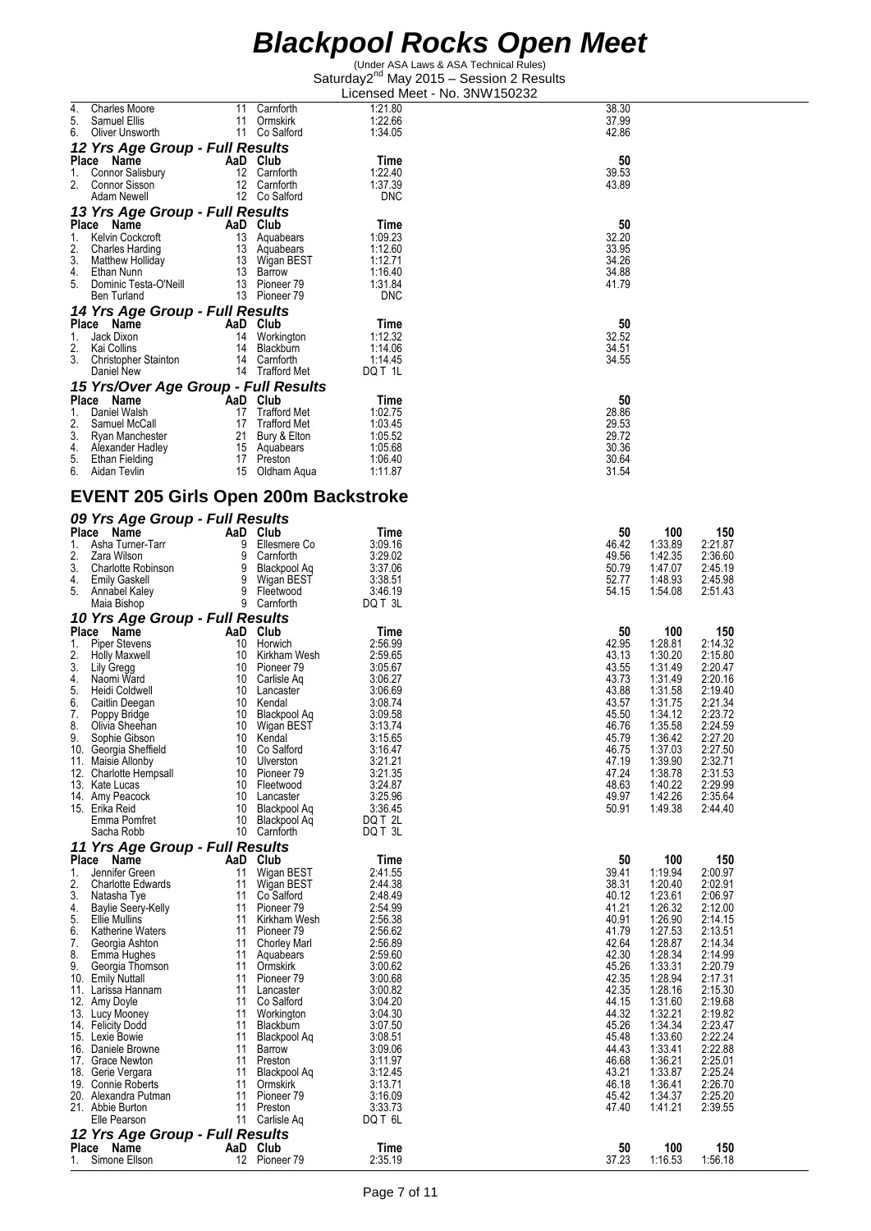| 4.<br><b>Charles Moore</b><br>5.<br>Samuel Ellis                                                                                                                                                                                                                            | 11       | Carnforth<br>11 Ormskirk              | 1:21.80<br>1:22.66    | 38.30<br>37.99                                             |
|-----------------------------------------------------------------------------------------------------------------------------------------------------------------------------------------------------------------------------------------------------------------------------|----------|---------------------------------------|-----------------------|------------------------------------------------------------|
| 6.<br>Oliver Unsworth                                                                                                                                                                                                                                                       |          | 11 Co Salford                         | 1:34.05               | 42.86                                                      |
| 12 Yrs Age Group - Full Results<br>Place Name                                                                                                                                                                                                                               |          |                                       | Time                  | 50                                                         |
| ce Name<br>Connor Salisbury<br>1.                                                                                                                                                                                                                                           |          | AaD Club<br>12 Carnforth              | 1:22.40               | 39.53                                                      |
| 2.<br>Connor Sisson<br>Adam Newell                                                                                                                                                                                                                                          |          | 12 Carnforth<br>12 Co Salford         | 1:37.39<br><b>DNC</b> | 43.89                                                      |
| 13 Yrs Age Group - Full Results                                                                                                                                                                                                                                             |          |                                       |                       |                                                            |
| Place Name<br>1.                                                                                                                                                                                                                                                            |          | Aap views<br>13 Aquabears<br>Campaars | Time<br>1:09.23       | 50<br>32.20                                                |
| Kelvin Cockcroft<br>2.                                                                                                                                                                                                                                                      |          |                                       | 1:12.60               | 33.95                                                      |
| Guaties Harding<br>Matthew Holliday<br>Ethan Nunn<br>Ethan Nunn<br>13 Barrow<br>3.<br>4.                                                                                                                                                                                    |          |                                       | 1:12.71<br>1:16.40    | 34.26<br>34.88                                             |
| 5.<br>Dominic Testa-O'Neill                                                                                                                                                                                                                                                 |          | 13 Pioneer 79                         | 1:31.84               | 41.79                                                      |
| Ben Turland<br>14 Yrs Age Group - Full Results                                                                                                                                                                                                                              |          | 13 Pioneer 79                         | <b>DNC</b>            |                                                            |
| Place Name<br>AaD Club                                                                                                                                                                                                                                                      |          |                                       | Time                  | 50                                                         |
| 1.<br>Jack Dixon<br>2.<br>Kai Collins                                                                                                                                                                                                                                       |          | 14 Workington<br>14 Blackburn         | 1:12.32<br>1:14.06    | 32.52<br>34.51                                             |
| 3.<br>Christopher Stainton                                                                                                                                                                                                                                                  |          | 14 Carnforth                          | 1:14.45               | 34.55                                                      |
| Daniel New<br>15 Yrs/Over Age Group - Full Results                                                                                                                                                                                                                          |          | 14 Trafford Met                       | DQ T 1L               |                                                            |
| Place Name                                                                                                                                                                                                                                                                  |          | AaD Club<br>17 Trafford Met           | Time                  | 50                                                         |
| 1.<br>Daniel Walsh<br>2.<br>Samuel McCall                                                                                                                                                                                                                                   |          | 17 Trafford Met                       | 1:02.75<br>1:03.45    | 28.86<br>29.53                                             |
| Exploration of the term of the Ryan Manchester<br>Alexander Hadley 15 Aquabears<br>Alexander Hadley 17 Preston<br>17 Preston<br>3.                                                                                                                                          |          |                                       | 1:05.52               | 29.72                                                      |
| 4.<br>5.<br>Ethan Fielding                                                                                                                                                                                                                                                  |          | 17 Preston                            | 1:05.68<br>1:06.40    | 30.36<br>30.64                                             |
| 6. Aidan Tevlin                                                                                                                                                                                                                                                             |          | 15 Oldham Aqua                        | 1:11.87               | 31.54                                                      |
| <b>EVENT 205 Girls Open 200m Backstroke</b>                                                                                                                                                                                                                                 |          |                                       |                       |                                                            |
| 09 Yrs Age Group - Full Results<br>Place Name                                                                                                                                                                                                                               | AaD Club |                                       |                       | 100                                                        |
| 1.                                                                                                                                                                                                                                                                          |          |                                       | Time<br>3:09.16       | 50<br>150<br>46.42<br>1:33.89<br>2:21.87                   |
| 2.<br>3.                                                                                                                                                                                                                                                                    |          |                                       | 3:29.02<br>3:37.06    | 1:42.35<br>49.56<br>2:36.60<br>50.79<br>1:47.07<br>2:45.19 |
| 4.                                                                                                                                                                                                                                                                          |          |                                       | 3:38.51               | 52.77<br>1:48.93<br>2:45.98                                |
| <b>Community</b><br>Asha Turner-Tarr<br>Charlotte Robinson<br>Charlotte Robinson<br>Emily Gaskell<br>Annabel Kaley<br>Annabel Kaley<br>Bretwood<br>Bretwood<br>Bretwood<br>Bretwood<br>Bretwood<br>Bretwood<br>Carnforth<br>Carnford<br>Bretwood<br>Carnforth<br>Carn<br>5. |          |                                       | 3:46.19<br>DQ T 3L    | 54.15<br>1:54.08<br>2:51.43                                |
| 10 Yrs Age Group - Full Results                                                                                                                                                                                                                                             |          |                                       |                       |                                                            |
| Place Name<br>1.<br>Piper Stevens                                                                                                                                                                                                                                           | AaD Club | 10 Horwich                            | Time<br>2:56.99       | 100<br>50<br>150<br>42.95<br>2:14.32<br>1:28.81            |
| 2.<br>Holly Maxwell                                                                                                                                                                                                                                                         |          | 10 Kirkham Wesh                       | 2:59.65               | 43.13<br>1:30.20<br>2:15.80                                |
| 3.<br>Lily Gregg<br>4.<br>Naomi Ward                                                                                                                                                                                                                                        |          | 10 Pioneer 79<br>10 Carlisle Aq       | 3:05.67<br>3:06.27    | 43.55<br>1:31.49<br>2:20.47<br>43.73<br>1:31.49<br>2:20.16 |
| 5.<br>Heidi Coldwell                                                                                                                                                                                                                                                        |          | 10 Lancaster                          | 3:06.69               | 43.88<br>1:31.58<br>2:19.40                                |
| 6.<br>Caitlin Deegan<br>7.<br>Poppy Bridge                                                                                                                                                                                                                                  |          | 10 Kendal<br>10 Blackpool Aq          | 3:08.74<br>3:09.58    | 43.57<br>1:31.75<br>2:21.34<br>45.50<br>1:34.12<br>2:23.72 |
| 8.<br>Olivia Sheehan                                                                                                                                                                                                                                                        |          | 10 Wigan BEST                         | 3:13.74               | 46.76<br>1:35.58<br>2:24.59                                |
| 9.<br>Sophie Gibson<br>10. Georgia Sheffield                                                                                                                                                                                                                                |          | 10 Kendal<br>10 Co Salford            | 3:15.65<br>3:16.47    | 45.79<br>2:27.20<br>1:36.42<br>46.75<br>1:37.03<br>2:27.50 |
| 11. Maisie Allonby                                                                                                                                                                                                                                                          | 10<br>10 | Ulverston                             | 3:21.21               | 47.19<br>1:39.90<br>2:32.71<br>47.24<br>1:38.78            |
| 12. Charlotte Hempsall<br>13. Kate Lucas                                                                                                                                                                                                                                    | 10       | Pioneer 79<br>Fleetwood               | 3:21.35<br>3:24.87    | 2:31.53<br>48.63<br>1:40.22<br>2:29.99                     |
| 14. Amy Peacock<br>15. Erika Reid                                                                                                                                                                                                                                           | 10<br>10 | Lancaster<br>Blackpool Aq             | 3:25.96<br>3:36.45    | 49.97<br>1:42.26<br>2:35.64<br>50.91<br>1:49.38<br>2:44.40 |
| Emma Pomfret                                                                                                                                                                                                                                                                | 10       | Blackpool Aq                          | DQ T 2L               |                                                            |
| Sacha Robb                                                                                                                                                                                                                                                                  | 10       | Carnforth                             | DQ T 3L               |                                                            |
| 11 Yrs Age Group - Full Results<br>Place Name                                                                                                                                                                                                                               |          | AaD Club                              | Time                  | 100<br>150<br>50                                           |
| 1.<br>Jennifer Green<br>2.<br><b>Charlotte Edwards</b>                                                                                                                                                                                                                      | 11<br>11 | Wigan BEST<br>Wigan BEST              | 2:41.55<br>2:44.38    | 39.41<br>1:19.94<br>2:00.97<br>1:20.40<br>38.31<br>2:02.91 |
| 3.<br>Natasha Tye                                                                                                                                                                                                                                                           | 11       | Co Salford                            | 2:48.49               | 1:23.61<br>40.12<br>2:06.97                                |
| 4.<br>Baylie Seery-Kelly<br>5.<br>Ellie Mullins                                                                                                                                                                                                                             | 11<br>11 | Pioneer 79<br>Kirkham Wesh            | 2:54.99<br>2:56.38    | 41.21<br>1:26.32<br>2:12.00<br>40.91<br>1:26.90<br>2:14.15 |
| 6.<br>Katherine Waters                                                                                                                                                                                                                                                      | 11       | Pioneer 79                            | 2:56.62               | 41.79<br>1:27.53<br>2:13.51                                |
| 7.<br>Georgia Ashton<br>8.<br>Emma Hughes                                                                                                                                                                                                                                   | 11<br>11 | <b>Chorley Marl</b><br>Aquabears      | 2:56.89<br>2:59.60    | 42.64<br>1:28.87<br>2:14.34<br>42.30<br>1:28.34<br>2:14.99 |
| 9.<br>Georgia Thomson                                                                                                                                                                                                                                                       | 11       | Ormskirk                              | 3:00.62               | 45.26<br>1:33.31<br>2:20.79                                |
| 10. Emily Nuttall<br>11. Larissa Hannam                                                                                                                                                                                                                                     | 11<br>11 | Pioneer <sub>79</sub><br>Lancaster    | 3:00.68<br>3:00.82    | 42.35<br>1:28.94<br>2:17.31<br>42.35<br>1:28.16<br>2:15.30 |
| 12. Amy Doyle                                                                                                                                                                                                                                                               | 11       | Co Salford                            | 3:04.20               | 44.15<br>1:31.60<br>2:19.68                                |
| 13. Lucy Mooney<br>14. Felicity Dodd                                                                                                                                                                                                                                        | 11<br>11 | Workington<br>Blackburn               | 3:04.30<br>3:07.50    | 44.32<br>1:32.21<br>2:19.82<br>45.26<br>1:34.34<br>2:23.47 |
| 15. Lexie Bowie                                                                                                                                                                                                                                                             | 11       | Blackpool Aq                          | 3:08.51               | 45.48<br>1:33.60<br>2:22.24                                |
| 16. Daniele Browne<br>17. Grace Newton                                                                                                                                                                                                                                      | 11<br>11 | Barrow<br>Preston                     | 3:09.06<br>3:11.97    | 44.43<br>1:33.41<br>2:22.88<br>46.68<br>1:36.21<br>2:25.01 |
| 18. Gerie Vergara                                                                                                                                                                                                                                                           | 11       | Blackpool Aq                          | 3:12.45               | 43.21<br>2:25.24<br>1:33.87                                |
| 19. Connie Roberts<br>20. Alexandra Putman                                                                                                                                                                                                                                  | 11<br>11 | Ormskirk<br>Pioneer 79                | 3:13.71<br>3:16.09    | 1:36.41<br>46.18<br>2:26.70<br>45.42<br>2:25.20<br>1:34.37 |
| 21. Abbie Burton                                                                                                                                                                                                                                                            | 11       | Preston                               | 3:33.73               | 47.40<br>1:41.21<br>2:39.55                                |
| Elle Pearson<br>12 Yrs Age Group - Full Results                                                                                                                                                                                                                             | 11       | Carlisle Aq                           | DQ T 6L               |                                                            |
| Place Name                                                                                                                                                                                                                                                                  |          | AaD Club                              | Time                  | 50<br>100<br>150                                           |
| Simone Ellson<br>1.                                                                                                                                                                                                                                                         |          | 12 Pioneer 79                         | 2:35.19               | 37.23<br>1:16.53<br>1:56.18                                |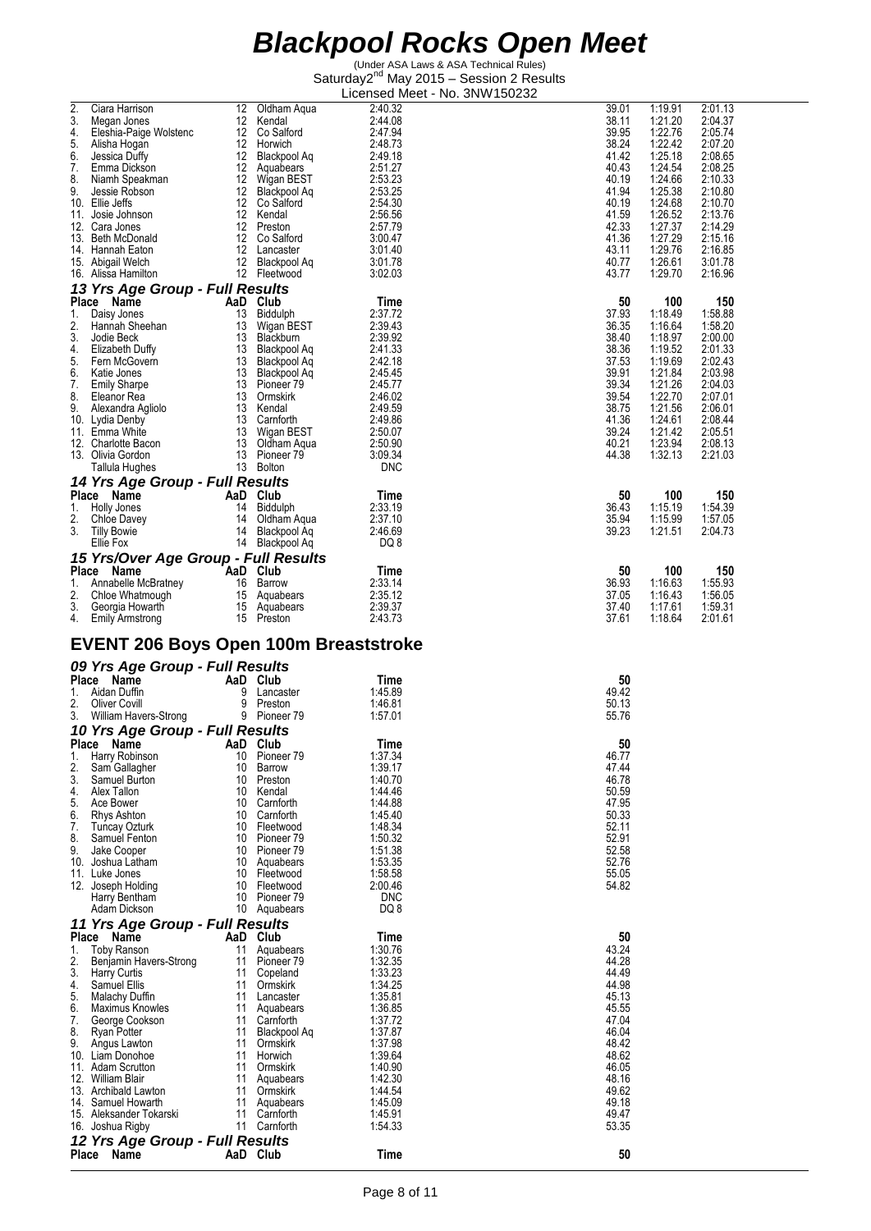(Under ASA Laws & ASA Technical Rules) Saturday2<sup>nd</sup> May 2015 - Session 2 Results Licensed Meet - No. 3NW150232

|     |                                              |          |                       | LICENSED MEET - NO. 3NW T50Z3Z |                |         |                    |
|-----|----------------------------------------------|----------|-----------------------|--------------------------------|----------------|---------|--------------------|
| 2.  | Ciara Harrison                               | 12       | Oldham Aqua           | 2:40.32                        | 39.01          | 1:19.91 | 2:01.13            |
| 3.  | Megan Jones                                  | 12       | Kendal                | 2:44.08                        | 38.11          | 1:21.20 | 2:04.37            |
| 4.  | Eleshia-Paige Wolstenc                       |          | 12 Co Salford         | 2:47.94                        | 39.95          | 1:22.76 | 2:05.74            |
| 5.  | Alisha Hogan                                 |          | 12 Horwich            | 2:48.73                        | 38.24          | 1:22.42 | 2:07.20            |
| 6.  | Jessica Duffy                                |          | 12 Blackpool Aq       | 2:49.18                        | 41.42          | 1:25.18 | 2:08.65            |
| 7.  | Emma Dickson                                 |          | 12 Aquabears          | 2:51.27                        | 40.43          | 1:24.54 | 2:08.25            |
| 8.  | Niamh Speakman                               |          | 12 Wigan BEST         | 2:53.23                        | 40.19          | 1:24.66 | 2:10.33            |
| 9.  | Jessie Robson                                |          | 12 Blackpool Ag       | 2:53.25                        | 41.94          | 1:25.38 | 2:10.80            |
|     | 10. Ellie Jeffs                              |          | 12 Co Salford         | 2:54.30                        | 40.19          | 1:24.68 | 2:10.70            |
|     | 11. Josie Johnson                            | 12       | Kendal                | 2:56.56                        | 41.59          | 1:26.52 | 2:13.76            |
|     | 12. Cara Jones                               |          | 12 Preston            | 2:57.79                        | 42.33          | 1:27.37 | 2:14.29            |
|     | 13. Beth McDonald                            |          | 12 Co Salford         | 3:00.47                        | 41.36          | 1:27.29 | 2:15.16            |
|     | 14. Hannah Eaton                             |          | 12 Lancaster          | 3:01.40                        | 43.11          | 1:29.76 | 2:16.85            |
|     | 15. Abigail Welch                            |          | 12 Blackpool Ag       | 3:01.78                        | 40.77          | 1:26.61 | 3:01.78            |
|     | 16. Alissa Hamilton                          |          | 12 Fleetwood          | 3:02.03                        | 43.77          | 1:29.70 | 2:16.96            |
|     | 13 Yrs Age Group - Full Results              |          |                       |                                |                |         |                    |
|     | Place Name                                   |          | AaD Club              | Time                           | 50             | 100     | 150                |
| 1.  | Daisy Jones                                  | 13       | Biddulph              | 2:37.72                        | 37.93          | 1:18.49 | 1:58.88            |
| 2.  | Hannah Sheehan                               |          | 13 Wigan BEST         | 2:39.43                        | 36.35          | 1:16.64 | 1:58.20            |
| 3.  |                                              |          |                       | 2:39.92                        | 38.40          |         |                    |
|     | Jodie Beck                                   |          | 13 Blackburn          |                                |                | 1:18.97 | 2:00.00            |
| 4.  | Elizabeth Duffy                              |          | 13 Blackpool Aq       | 2:41.33                        | 38.36          | 1:19.52 | 2:01.33<br>2:02.43 |
| 5.  | Fern McGovern                                |          | 13 Blackpool Aq       | 2:42.18                        | 37.53          | 1:19.69 | 2:03.98            |
| 6.  | Katie Jones                                  |          | 13 Blackpool Aq       | 2:45.45                        | 39.91          | 1:21.84 |                    |
| 7.  | <b>Emily Sharpe</b>                          |          | 13 Pioneer 79         | 2:45.77                        | 39.34          | 1:21.26 | 2:04.03            |
| 8.  | Eleanor Rea                                  |          | 13 Ormskirk           | 2:46.02                        | 39.54          | 1:22.70 | 2:07.01            |
| 9.  | Alexandra Agliolo                            |          | 13 Kendal             | 2:49.59                        | 38.75          | 1:21.56 | 2:06.01            |
|     | 10. Lydia Denby                              |          | 13 Carnforth          | 2:49.86                        | 41.36          | 1:24.61 | 2:08.44            |
|     | 11. Emma White                               |          | 13 Wigan BEST         | 2:50.07                        | 39.24          | 1:21.42 | 2:05.51            |
|     | 12. Charlotte Bacon                          |          | 13 Oldham Aqua        | 2:50.90                        | 40.21          | 1:23.94 | 2:08.13            |
|     | 13. Olivia Gordon                            |          | 13 Pioneer 79         | 3:09.34                        | 44.38          | 1:32.13 | 2:21.03            |
|     | Tallula Hughes                               |          | 13 Bolton             | <b>DNC</b>                     |                |         |                    |
|     | 14 Yrs Age Group - Full Results              |          |                       |                                |                |         |                    |
|     | Place Name                                   |          | AaD Club              | Time                           | 50             | 100     | 150                |
| 1.  | Holly Jones                                  | 14       | Biddulph              | 2:33.19                        | 36.43          | 1:15.19 | 1:54.39            |
| 2.  | Chloe Davey                                  | 14       | Oldham Aqua           | 2:37.10                        | 35.94          | 1:15.99 | 1:57.05            |
| 3.  | <b>Tilly Bowie</b>                           | 14       | Blackpool Aq          | 2:46.69                        | 39.23          | 1:21.51 | 2:04.73            |
|     | Ellie Fox                                    |          | 14 Blackpool Aq       | DQ 8                           |                |         |                    |
|     | 15 Yrs/Over Age Group - Full Results         |          |                       |                                |                |         |                    |
|     | Place Name                                   | AaD Club |                       | Time                           | 50             | 100     | 150                |
|     |                                              |          | 16 Barrow             | 2:33.14                        | 36.93          |         |                    |
| 1.  | Annabelle McBratney                          |          |                       |                                |                | 1:16.63 | 1:55.93            |
| 2.  | Chloe Whatmough                              |          | 15 Aquabears          | 2:35.12                        | 37.05          | 1:16.43 | 1:56.05            |
| 3.  | Georgia Howarth                              |          | 15 Aquabears          | 2:39.37                        | 37.40          | 1:17.61 | 1:59.31            |
| 4.  | <b>Emily Armstrong</b>                       |          | 15 Preston            | 2:43.73                        | 37.61          | 1:18.64 | 2:01.61            |
|     |                                              |          |                       |                                |                |         |                    |
|     |                                              |          |                       |                                |                |         |                    |
|     | <b>EVENT 206 Boys Open 100m Breaststroke</b> |          |                       |                                |                |         |                    |
|     |                                              |          |                       |                                |                |         |                    |
|     | 09 Yrs Age Group - Full Results              |          |                       |                                |                |         |                    |
|     | Place Name                                   |          | AaD Club              | Time                           | 50             |         |                    |
| 1.  | Aidan Duffin                                 | 9        | Lancaster             | 1:45.89                        | 49.42          |         |                    |
| 2.  | Oliver Covill                                | 9        | Preston               | 1.46.81                        | 50.13          |         |                    |
| 3.  | William Havers-Strong                        |          | 9 Pioneer 79          | 1:57.01                        | 55.76          |         |                    |
|     | 10 Yrs Age Group - Full Results              |          |                       |                                |                |         |                    |
|     | Place Name                                   |          | AaD Club              | Time                           | 50             |         |                    |
| 1.  | Harry Robinson                               | 10       | Pioneer <sub>79</sub> | 1:37.34                        | 46.77          |         |                    |
| 2.  | Sam Gallagher                                | 10       | Barrow                | 1:39.17                        | 47.44          |         |                    |
| 3.  | Samuel Burton                                | 10       | Preston               | 1:40.70                        | 46.78          |         |                    |
| 4.  | Alex Tallon                                  | 10       | Kendal                | 1:44.46                        | 50.59          |         |                    |
| 5.  | Ace Bower                                    | 10       | Carnforth             | 1:44.88                        | 47.95          |         |                    |
| 6.  | Rhys Ashton                                  | 10       | Carnforth             | 1:45.40                        | 50.33          |         |                    |
| 7.  | Tuncay Ozturk                                | 10       | Fleetwood             | 1:48.34                        | 52.11          |         |                    |
| 8.  | Samuel Fenton                                | 10       | Pioneer 79            | 1:50.32                        | 52.91          |         |                    |
| 9.  | Jake Cooper                                  | 10       | Pioneer <sub>79</sub> |                                | 52.58          |         |                    |
|     | 10. Joshua Latham                            | 10       | Aquabears             | 1:51.38<br>1:53.35             | 52.76          |         |                    |
|     | 11. Luke Jones                               | 10       | Fleetwood             | 1:58.58                        | 55.05          |         |                    |
|     |                                              | 10       | Fleetwood             | 2:00.46                        | 54.82          |         |                    |
|     | 12. Joseph Holding<br>Harry Bentham          | 10       | Pioneer <sub>79</sub> | <b>DNC</b>                     |                |         |                    |
|     | Adam Dickson                                 | 10       | Aquabears             | DQ 8                           |                |         |                    |
|     |                                              |          |                       |                                |                |         |                    |
|     | 11 Yrs Age Group - Full Results              |          |                       |                                |                |         |                    |
|     | Place<br>Name                                |          | AaD Club              | Time                           | 50             |         |                    |
| 1.  | <b>Toby Ranson</b>                           | 11       | Aquabears             | 1:30.76                        | 43.24          |         |                    |
| 2.  | Benjamin Havers-Strong                       | 11       | Pioneer 79            | 1:32.35                        | 44.28          |         |                    |
| 3.  | <b>Harry Curtis</b>                          | 11       | Copeland              | 1:33.23                        | 44.49          |         |                    |
| 4.  | Samuel Ellis                                 | 11       | Ormskirk              | 1:34.25                        | 44.98          |         |                    |
| 5.  | Malachy Duffin                               | 11       | Lancaster             | 1:35.81                        | 45.13          |         |                    |
| 6.  | Maximus Knowles                              | 11       | Aquabears             | 1:36.85                        | 45.55          |         |                    |
| 7.  | George Cookson                               | 11       | Carnforth             | 1:37.72                        | 47.04          |         |                    |
| 8.  | <b>Ryan Potter</b>                           | 11       | Blackpool Aq          | 1:37.87                        | 46.04          |         |                    |
| 9.  | Angus Lawton                                 | 11       | Ormskirk              | 1:37.98                        | 48.42          |         |                    |
|     | 10. Liam Donohoe                             | 11       | Horwich               | 1:39.64                        | 48.62          |         |                    |
| 11. | Adam Scrutton<br>12. William Blair           | 11<br>11 | Ormskirk<br>Aquabears | 1:40.90<br>1:42.30             | 46.05<br>48.16 |         |                    |

12. William Blair 11 Aquabears 1:42.30<br>
13. Archibald Lawton 11 Ormskirk 1:44.54<br>
14. Samuel Howarth 11 Aquabears 1:45.09<br>
16. Joshua Rigby 11 Camforth 1:54.33<br>
16. Joshua Rigby 11 Camforth 1:54.33<br>
15.3.35 13. Archibald Lawton 11 Ormskirk 1:44.54 49.62 14. Samuel Howarth 11 Aquabears 1:45.09 49.18 15. Aleksander Tokarski 11 Carnforth 1:45.91 49.47 16. Joshua Rigby 11 Carnforth 1:54.33 53.35

**Place Name AaD Club Time 50**

*12 Yrs Age Group - Full Results*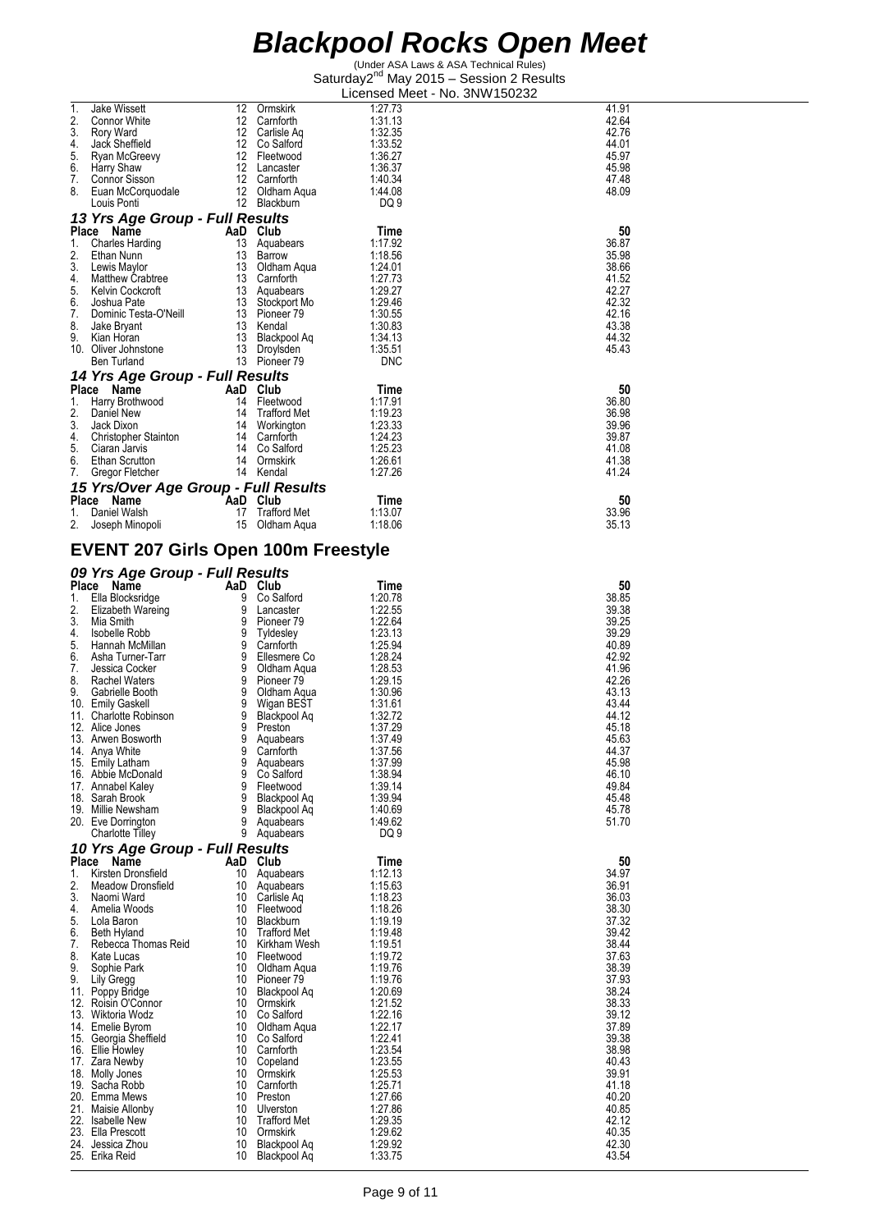(Under ASA Laws & ASA Technical Rules) Saturday2<sup>nd</sup> May 2015 - Session 2 Results Licensed Meet - No. 3NW150232

| 1.          | <b>Jake Wissett</b>                         | 12       | Ormskirk                      | 1:27.73            | 41.91          |
|-------------|---------------------------------------------|----------|-------------------------------|--------------------|----------------|
| 2.          | Connor White                                | 12       | Carnforth                     | 1:31.13            | 42.64          |
| 3.<br>4.    | Rory Ward<br>Jack Sheffield                 | 12       | Carlisle Aq<br>12 Co Salford  | 1:32.35<br>1:33.52 | 42.76<br>44.01 |
| 5.          | Ryan McGreevy                               |          | 12 Fleetwood                  | 1:36.27            | 45.97          |
| 6.          | Harry Shaw                                  |          | 12 Lancaster                  | 1:36.37            | 45.98          |
| 7.          | Connor Sisson                               |          | 12 Carnforth                  | 1:40.34            | 47.48          |
| 8.          | Euan McCorquodale                           |          | 12 Oldham Aqua                | 1:44.08            | 48.09          |
|             | Louis Ponti                                 |          | 12 Blackburn                  | DQ 9               |                |
|             | 13 Yrs Age Group - Full Results             |          |                               |                    |                |
|             | Place Name                                  |          | AaD Club                      | Time               | 50             |
| 1.<br>2.    | Charles Harding<br>Ethan Nunn               | 13<br>13 | Aquabears                     | 1:17.92<br>1:18.56 | 36.87<br>35.98 |
| 3.          | Lewis Maylor                                |          | Barrow<br>13 Oldham Aqua      | 1:24.01            | 38.66          |
| 4.          | Matthew Crabtree                            |          | 13 Carnforth                  | 1:27.73            | 41.52          |
| 5.          | Kelvin Cockcroft                            |          | 13 Aquabears                  | 1:29.27            | 42.27          |
| 6.          | Joshua Pate                                 |          | 13 Stockport Mo               | 1.29.46            | 42.32          |
| 7.          | Dominic Testa-O'Neill                       |          | 13 Pioneer 79                 | 1:30.55            | 42.16          |
| 8.<br>9.    | Jake Bryant<br>Kian Horan                   |          | 13 Kendal<br>13 Blackpool Aq  | 1:30.83<br>1:34.13 | 43.38<br>44.32 |
|             | 10. Oliver Johnstone                        |          | 13 Droylsden                  | 1:35.51            | 45.43          |
|             | Ben Turland                                 |          | 13 Pioneer 79                 | <b>DNC</b>         |                |
|             | 14 Yrs Age Group - Full Results             |          |                               |                    |                |
|             | Place Name                                  |          | AaD Club                      | Time               | 50             |
| 1.          | Harry Brothwood                             |          | 14 Fleetwood                  | 1:17.91            | 36.80          |
| 2.          | Daniel New                                  |          | 14 Trafford Met               | 1:19.23            | 36.98          |
| 3.<br>4.    | Jack Dixon                                  |          | 14 Workington                 | 1:23.33<br>1:24.23 | 39.96<br>39.87 |
| 5.          | Christopher Stainton<br>Ciaran Jarvis       |          | 14 Carnforth<br>14 Co Salford | 1:25.23            | 41.08          |
| 6.          | Ethan Scrutton                              |          | 14 Ormskirk                   | 1:26.61            | 41.38          |
| 7.          | Gregor Fletcher                             |          | 14 Kendal                     | 1.27.26            | 41.24          |
|             | 15 Yrs/Over Age Group - Full Results        |          |                               |                    |                |
|             | Place Name                                  |          | AaD Club                      | Time               | 50             |
| 1.          | Daniel Walsh                                | 17       | <b>Trafford Met</b>           | 1.13.07            | 33.96          |
| 2.          | Joseph Minopoli                             | 15       | Oldham Aqua                   | 1:18.06            | 35.13          |
|             | <b>EVENT 207 Girls Open 100m Freestyle</b>  |          |                               |                    |                |
|             |                                             |          |                               |                    |                |
|             | 09 Yrs Age Group - Full Results             |          |                               |                    |                |
|             | Place Name                                  |          | AaD Club                      | Time               | 50             |
| 1.          | Ella Blocksridge                            | 9        | Co Salford                    | 1.20.78            | 38.85          |
|             |                                             |          |                               |                    |                |
| 2.          | Elizabeth Wareing                           |          | 9 Lancaster                   | 1:22.55            | 39.38          |
| 3.<br>4.    | Mia Smith                                   |          | 9 Pioneer 79                  | 1:22.64            | 39.25          |
| 5.          | Isobelle Robb<br>Hannah McMillan            |          | 9 Tyldesley<br>9 Carnforth    | 1:23.13<br>1:25.94 | 39.29<br>40.89 |
| 6.          | Asha Turner-Tarr                            |          | 9 Ellesmere Co                | 1:28.24            | 42.92          |
| 7.          | Jessica Cocker                              |          | 9 Oldham Aqua                 | 1:28.53            | 41.96          |
| 8.          | Rachel Waters                               |          | 9 Pioneer 79                  | 1:29.15            | 42.26          |
| 9.          | Gabrielle Booth                             |          | 9 Oldham Aqua                 | 1:30.96            | 43.13          |
|             | 10. Emily Gaskell<br>11. Charlotte Robinson |          | 9 Wigan BEST                  | 1:31.61<br>1:32.72 | 43.44<br>44.12 |
|             | 12. Alice Jones                             | 9        | 9 Blackpool Aq<br>Preston     | 1:37.29            | 45.18          |
|             | 13. Arwen Bosworth                          | 9        | Aquabears                     | 1:37.49            | 45.63          |
|             | 14. Anya White                              | 9        | Carnforth                     | 1:37.56            | 44.37          |
|             | 15. Emily Latham                            | 9        | Aquabears                     | 1:37.99            | 45.98          |
|             | 16. Abbie McDonald<br>17. Annabel Kaley     | 9<br>9   | Co Salford<br>Fleetwood       | 1:38.94<br>1:39.14 | 46.10<br>49.84 |
|             | 18. Sarah Brook                             | 9        | Blackpool Aq                  | 1:39.94            | 45.48          |
|             | 19. Millie Newsham                          | 9        | Blackpool Aq                  | 1:40.69            | 45.78          |
|             | 20. Eve Dorrington                          | 9        | Aquabears                     | 1.49.62            | 51.70          |
|             | <b>Charlotte Tilley</b>                     | 9        | Aquabears                     | DQ 9               |                |
|             | 10 Yrs Age Group - Full Results             |          |                               |                    |                |
| Place<br>1. | Name<br>Kirsten Dronsfield                  | 10       | AaD Club<br>Aquabears         | Time<br>1:12.13    | 50<br>34.97    |
| 2.          | Meadow Dronsfield                           | 10       | Aquabears                     | 1:15.63            | 36.91          |
| 3.          | Naomi Ward                                  | 10       | Carlisle Aq                   | 1:18.23            | 36.03          |
| 4.          | Amelia Woods                                | 10       | Fleetwood                     | 1:18.26            | 38.30          |
| 5.          | Lola Baron                                  | 10       | Blackburn                     | 1:19.19            | 37.32          |
| 6.          | Beth Hyland                                 | 10       | <b>Trafford Met</b>           | 1:19.48            | 39.42          |
| 7.<br>8.    | Rebecca Thomas Reid<br>Kate Lucas           | 10<br>10 | Kirkham Wesh<br>Fleetwood     | 1:19.51<br>1:19.72 | 38.44<br>37.63 |
| 9.          | Sophie Park                                 | 10       | Oldham Aqua                   | 1:19.76            | 38.39          |
| 9.          | Lily Gregg                                  | 10       | Pioneer 79                    | 1:19.76            | 37.93          |
|             | 11. Poppy Bridge                            | 10       | Blackpool Aq                  | 1:20.69            | 38.24          |
|             | 12. Roisin O'Connor<br>13. Wiktoria Wodz    | 10<br>10 | Ormskirk<br>Co Salford        | 1:21.52<br>1:22.16 | 38.33<br>39.12 |
|             | 14. Emelie Byrom                            | 10       | Oldham Aqua                   | 1:22.17            | 37.89          |
|             | 15. Georgia Sheffield                       | 10       | Co Salford                    | 1:22.41            | 39.38          |
|             | 16. Ellie Howley                            | 10       | Carnforth                     | 1:23.54            | 38.98          |
|             | 17. Zara Newby                              | 10       | Copeland                      | 1:23.55            | 40.43          |
|             | 18. Molly Jones<br>19. Sacha Robb           | 10<br>10 | Ormskirk<br>Carnforth         | 1:25.53<br>1:25.71 | 39.91<br>41.18 |
|             | 20. Emma Mews                               | 10       | Preston                       | 1:27.66            | 40.20          |
|             | 21. Maisie Allonby<br>22. Isabelle New      | 10<br>10 | Ulverston<br>Trafford Met     | 1:27.86<br>1:29.35 | 40.85<br>42.12 |

23. Ella Prescott 10 Ormskirk 1:29.62 40.35 24. Jessica Zhou 10 Blackpool Aq 1:29.92 42.30 25. Erika Reid 10 Blackpool Aq 1:33.75 43.54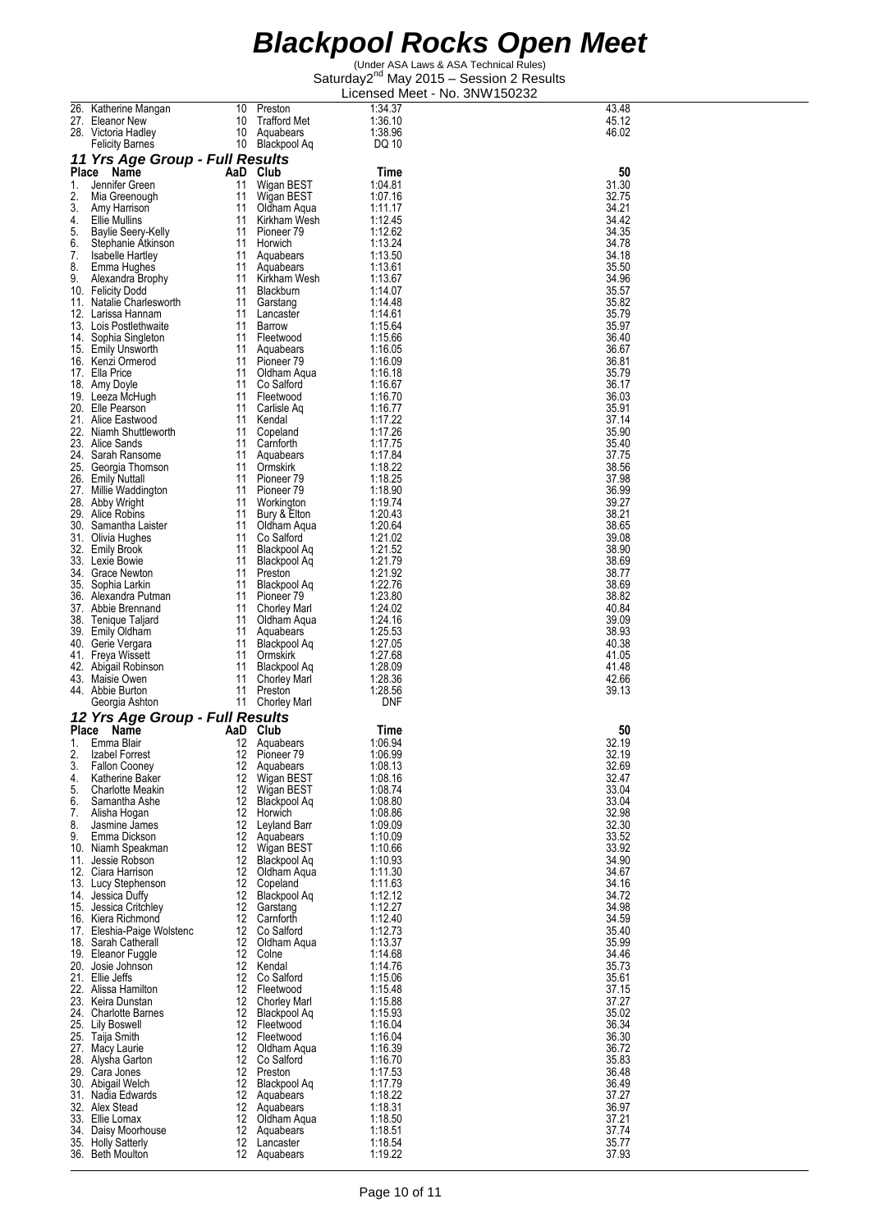| 26.      | Katherine Mangan                              | 10       | Preston                             | 1:34.37            | 43.48          |
|----------|-----------------------------------------------|----------|-------------------------------------|--------------------|----------------|
|          | 27. Eleanor New                               | 10       | <b>Trafford Met</b>                 | 1:36.10            | 45.12          |
|          | 28. Victoria Hadley                           | 10       | Aquabears                           | 1:38.96            | 46.02          |
|          | <b>Felicity Barnes</b>                        | 10       | Blackpool Aq                        | DQ 10              |                |
|          | 11 Yrs Age Group - Full Results               |          |                                     |                    |                |
|          | Place Name                                    |          | AaD Club                            | Time               | 50             |
| 1.       | Jennifer Green                                | 11       | Wigan BEST                          | 1:04.81            | 31.30          |
| 2.<br>3. | Mia Greenough                                 | 11<br>11 | Wigan BEST                          | 1:07.16<br>1:11.17 | 32.75<br>34.21 |
| 4.       | Amy Harrison<br>Ellie Mullins                 | 11       | Oldham Aqua<br>Kirkham Wesh         | 1:12.45            | 34.42          |
| 5.       | Baylie Seery-Kelly                            | 11       | Pioneer 79                          | 1:12.62            | 34.35          |
| 6.       | Stephanie Atkinson                            | 11       | Horwich                             | 1:13.24            | 34.78          |
| 7.       | Isabelle Hartley                              | 11       | Aquabears                           | 1:13.50            | 34.18          |
| 8.       | Emma Hughes                                   | 11       | Aquabears                           | 1:13.61            | 35.50          |
| 9.       | Alexandra Brophy                              | 11       | Kirkham Wesh                        | 1:13.67            | 34.96<br>35.57 |
|          | 10. Felicity Dodd<br>11. Natalie Charlesworth | 11<br>11 | Blackburn<br>Garstang               | 1:14.07<br>1:14.48 | 35.82          |
|          | 12. Larissa Hannam                            | 11       | Lancaster                           | 1:14.61            | 35.79          |
|          | 13. Lois Postlethwaite                        | 11       | Barrow                              | 1:15.64            | 35.97          |
|          | 14. Sophia Singleton                          | 11       | Fleetwood                           | 1:15.66            | 36.40          |
|          | 15. Emily Unsworth                            | 11       | Aquabears                           | 1:16.05            | 36.67          |
|          | 16. Kenzi Ormerod                             | 11       | Pioneer <sub>79</sub>               | 1:16.09            | 36.81          |
|          | 17. Ella Price                                | 11<br>11 | Oldham Aqua<br>Co Salford           | 1:16.18<br>1:16.67 | 35.79<br>36.17 |
|          | 18. Amy Doyle<br>19. Leeza McHugh             | 11       | Fleetwood                           | 1:16.70            | 36.03          |
|          | 20. Elle Pearson                              | 11       | Carlisle Ag                         | 1:16.77            | 35.91          |
|          | 21. Alice Eastwood                            | 11       | Kendal                              | 1:17.22            | 37.14          |
|          | 22. Niamh Shuttleworth                        | 11       | Copeland                            | 1:17.26            | 35.90          |
|          | 23. Alice Sands                               | 11       | Carnforth                           | 1:17.75            | 35.40          |
|          | 24. Sarah Ransome                             | 11       | Aguabears                           | 1:17.84            | 37.75          |
|          | 25. Georgia Thomson                           | 11<br>11 | Ormskirk<br>Pioneer <sub>79</sub>   | 1:18.22<br>1:18.25 | 38.56<br>37.98 |
|          | 26. Emily Nuttall<br>27. Millie Waddington    | 11       | Pioneer <sub>79</sub>               | 1:18.90            | 36.99          |
|          | 28. Abby Wright                               | 11       | Workington                          | 1:19.74            | 39.27          |
|          | 29. Alice Robins                              | 11       | Bury & Elton                        | 1:20.43            | 38.21          |
|          | 30. Samantha Laister                          | 11       | Oldham Aqua                         | 1:20.64            | 38.65          |
|          | 31. Olivia Hughes                             | 11       | Co Salford                          | 1:21.02            | 39.08          |
|          | 32. Emily Brook                               | 11       | Blackpool Aq                        | 1:21.52            | 38.90          |
|          | 33. Lexie Bowie                               | 11       | Blackpool Aq                        | 1:21.79            | 38.69          |
|          | 34. Grace Newton<br>35. Sophia Larkin         | 11<br>11 | Preston<br>Blackpool Aq             | 1:21.92<br>1:22.76 | 38.77<br>38.69 |
|          | 36. Alexandra Putman                          | 11       | Pioneer <sub>79</sub>               | 1:23.80            | 38.82          |
|          | 37. Abbie Brennand                            | 11       | <b>Chorley Marl</b>                 | 1:24.02            | 40.84          |
|          | 38. Tenique Taljard                           | 11       | Oldham Aqua                         | 1:24.16            | 39.09          |
|          | 39. Emily Oldham                              | 11       | Aguabears                           | 1:25.53            | 38.93          |
|          |                                               | 11       | Blackpool Aq                        | 1:27.05            | 40.38          |
|          | 40. Gerie Vergara                             |          |                                     |                    |                |
|          | 41. Freya Wissett                             | 11       | Ormskirk                            | 1:27.68            | 41.05          |
|          | 42. Abigail Robinson                          | 11       | Blackpool Aq                        | 1:28.09            | 41.48          |
|          | 43. Maisie Owen                               | 11       | <b>Chorley Marl</b>                 | 1:28.36            | 42.66          |
|          | 44. Abbie Burton                              | 11       | Preston                             | 1:28.56            | 39.13          |
|          | Georgia Ashton                                |          | 11 Chorley Marl                     | DNF                |                |
|          | 12 Yrs Age Group - Full Results<br>Place Name | AaD      | Club                                | Time               | 50             |
| 1.       | Emma Blair                                    | 12       | Aquabears                           | 1:06.94            | 32.19          |
| 2.       | Izabel Forrest                                |          | 12 Pioneer 79                       | 1:06.99            | 32.19          |
| 3.       | <b>Fallon Cooney</b>                          | 12       | Aquabears                           | 1:08.13            | 32.69          |
| 4.       | Katherine Baker                               |          | 12 Wigan BEST                       | 1:08.16            | 32.47          |
| 5.       | <b>Charlotte Meakin</b>                       |          | 12 Wigan BEST                       | 1:08.74            | 33.04          |
| 6.       | Samantha Ashe                                 | 12       | Blackpool Ag                        | 1:08.80            | 33.04          |
| 7.<br>8. | Alisha Hogan<br>Jasmine James                 |          | 12 Horwich<br>12 Leyland Barr       | 1:08.86<br>1:09.09 | 32.98<br>32.30 |
| 9.       | Emma Dickson                                  |          | 12 Aquabears                        | 1:10.09            | 33.52          |
|          | 10. Niamh Speakman                            |          | 12 Wigan BEST                       | 1:10.66            | 33.92          |
|          | 11. Jessie Robson                             | 12       | Blackpool Aq                        | 1:10.93            | 34.90          |
|          | 12. Ciara Harrison                            | 12       | Oldham Aqua                         | 1:11.30            | 34.67          |
|          | 13. Lucy Stephenson                           | 12       | Copeland                            | 1:11.63            | 34.16          |
|          | 14. Jessica Duffy                             | 12       | Blackpool Aq<br>12 Garstang         | 1:12.12<br>1:12.27 | 34.72<br>34.98 |
|          | 15. Jessica Critchley<br>16. Kiera Richmond   |          | 12 Carnforth                        | 1:12.40            | 34.59          |
|          | 17. Eleshia-Paige Wolstenc                    |          | 12 Co Salford                       | 1:12.73            | 35.40          |
|          | 18. Sarah Catherall                           | 12       | Oldham Aqua                         | 1:13.37            | 35.99          |
|          | 19. Eleanor Fuggle                            | 12       | Colne                               | 1:14.68            | 34.46          |
|          | 20. Josie Johnson                             | 12       | Kendal                              | 1:14.76            | 35.73          |
|          | 21. Ellie Jeffs                               |          | 12 Co Salford<br>12 Fleetwood       | 1:15.06            | 35.61<br>37.15 |
|          | 22. Alissa Hamilton<br>23. Keira Dunstan      | 12       | <b>Chorley Marl</b>                 | 1:15.48<br>1:15.88 | 37.27          |
|          | 24. Charlotte Barnes                          | 12       | Blackpool Aq                        | 1:15.93            | 35.02          |
|          | 25. Lily Boswell                              |          | 12 Fleetwood                        | 1:16.04            | 36.34          |
|          | 25. Taija Smith                               |          | 12 Fleetwood                        | 1:16.04            | 36.30          |
|          | 27. Macy Laurie                               |          | 12 Oldham Aqua                      | 1:16.39            | 36.72          |
|          | 28. Alysha Garton                             | 12       | Co Salford                          | 1:16.70            | 35.83          |
|          | 29. Cara Jones                                |          | 12 Preston                          | 1:17.53            | 36.48          |
|          | 30. Abigail Welch<br>31. Nadia Edwards        | 12       | <b>Blackpool Aq</b><br>12 Aquabears | 1:17.79<br>1:18.22 | 36.49<br>37.27 |
|          | 32. Alex Stead                                |          | 12 Aguabears                        | 1:18.31            | 36.97          |
|          | 33. Ellie Lomax                               |          | 12 Oldham Aqua                      | 1:18.50            | 37.21          |
|          | 34. Daisy Moorhouse                           |          | 12 Aguabears                        | 1:18.51            | 37.74          |
|          | 35. Holly Satterly<br>36. Beth Moulton        |          | 12 Lancaster<br>12 Aquabears        | 1:18.54<br>1:19.22 | 35.77<br>37.93 |